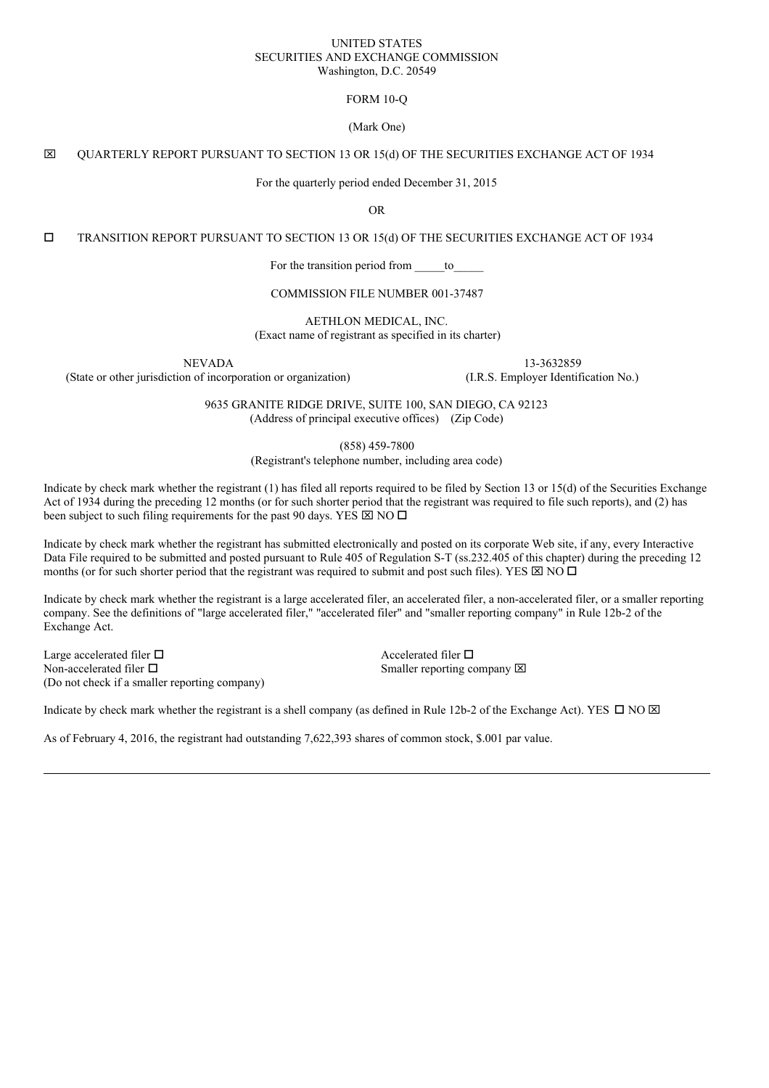#### UNITED STATES SECURITIES AND EXCHANGE COMMISSION Washington, D.C. 20549

FORM 10-Q

(Mark One)

x QUARTERLY REPORT PURSUANT TO SECTION 13 OR 15(d) OF THE SECURITIES EXCHANGE ACT OF 1934

For the quarterly period ended December 31, 2015

OR

o TRANSITION REPORT PURSUANT TO SECTION 13 OR 15(d) OF THE SECURITIES EXCHANGE ACT OF 1934

For the transition period from to

COMMISSION FILE NUMBER 001-37487

AETHLON MEDICAL, INC. (Exact name of registrant as specified in its charter)

NEVADA 13-3632859 (State or other jurisdiction of incorporation or organization) (I.R.S. Employer Identification No.)

> 9635 GRANITE RIDGE DRIVE, SUITE 100, SAN DIEGO, CA 92123 (Address of principal executive offices) (Zip Code)

> > (858) 459-7800

(Registrant's telephone number, including area code)

Indicate by check mark whether the registrant (1) has filed all reports required to be filed by Section 13 or 15(d) of the Securities Exchange Act of 1934 during the preceding 12 months (or for such shorter period that the registrant was required to file such reports), and (2) has been subject to such filing requirements for the past 90 days. YES  $\boxtimes$  NO  $\Box$ 

Indicate by check mark whether the registrant has submitted electronically and posted on its corporate Web site, if any, every Interactive Data File required to be submitted and posted pursuant to Rule 405 of Regulation S-T (ss.232.405 of this chapter) during the preceding 12 months (or for such shorter period that the registrant was required to submit and post such files). YES  $\boxtimes$  NO  $\square$ 

Indicate by check mark whether the registrant is a large accelerated filer, an accelerated filer, a non-accelerated filer, or a smaller reporting company. See the definitions of "large accelerated filer," "accelerated filer" and "smaller reporting company" in Rule 12b-2 of the Exchange Act.

Large accelerated filer  $\Box$  Accelerated filer  $\Box$ Non-accelerated filer  $\Box$ (Do not check if a smaller reporting company)

Smaller reporting company  $\boxtimes$ 

Indicate by check mark whether the registrant is a shell company (as defined in Rule 12b-2 of the Exchange Act). YES  $\Box$  NO  $\boxtimes$ 

As of February 4, 2016, the registrant had outstanding 7,622,393 shares of common stock, \$.001 par value.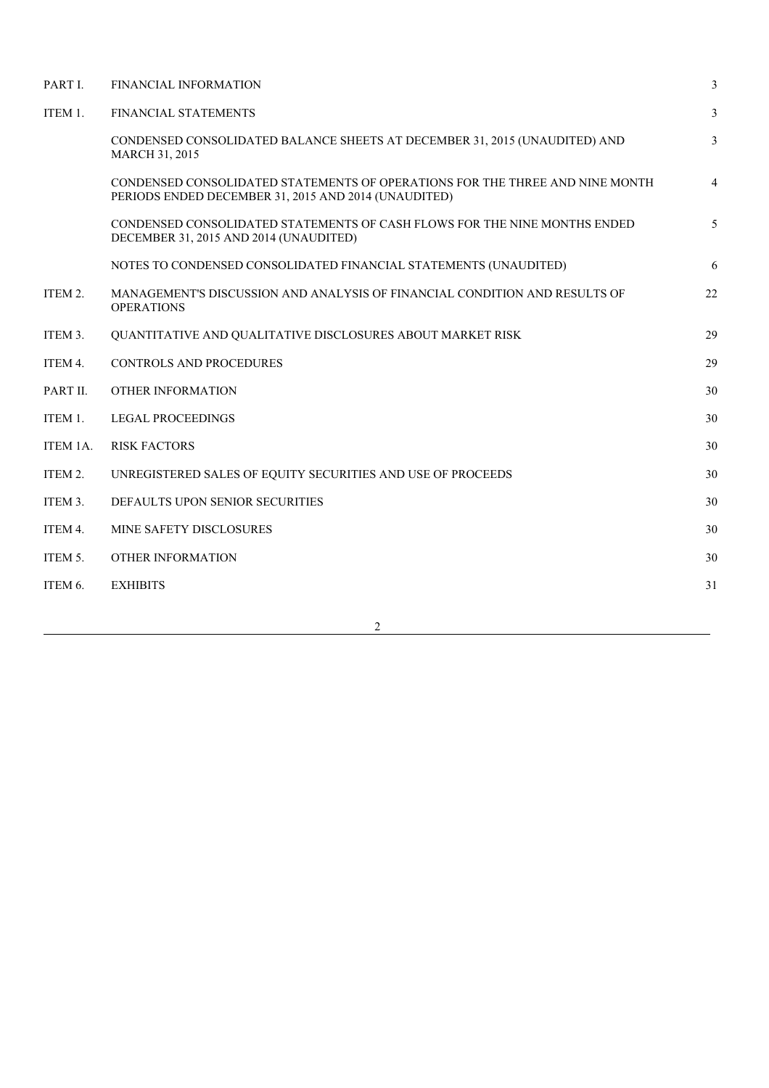| PART I.  | <b>FINANCIAL INFORMATION</b>                                                                                                         | 3              |
|----------|--------------------------------------------------------------------------------------------------------------------------------------|----------------|
| ITEM 1.  | <b>FINANCIAL STATEMENTS</b>                                                                                                          | 3              |
|          | CONDENSED CONSOLIDATED BALANCE SHEETS AT DECEMBER 31, 2015 (UNAUDITED) AND<br>MARCH 31, 2015                                         | $\mathfrak{Z}$ |
|          | CONDENSED CONSOLIDATED STATEMENTS OF OPERATIONS FOR THE THREE AND NINE MONTH<br>PERIODS ENDED DECEMBER 31, 2015 AND 2014 (UNAUDITED) | 4              |
|          | CONDENSED CONSOLIDATED STATEMENTS OF CASH FLOWS FOR THE NINE MONTHS ENDED<br>DECEMBER 31, 2015 AND 2014 (UNAUDITED)                  | 5              |
|          | NOTES TO CONDENSED CONSOLIDATED FINANCIAL STATEMENTS (UNAUDITED)                                                                     | 6              |
| ITEM 2.  | MANAGEMENT'S DISCUSSION AND ANALYSIS OF FINANCIAL CONDITION AND RESULTS OF<br><b>OPERATIONS</b>                                      | 22             |
| ITEM 3.  | QUANTITATIVE AND QUALITATIVE DISCLOSURES ABOUT MARKET RISK                                                                           | 29             |
| ITEM 4.  | <b>CONTROLS AND PROCEDURES</b>                                                                                                       | 29             |
| PART II. | <b>OTHER INFORMATION</b>                                                                                                             | 30             |
| ITEM 1.  | <b>LEGAL PROCEEDINGS</b>                                                                                                             | 30             |
| ITEM 1A. | <b>RISK FACTORS</b>                                                                                                                  | 30             |
| ITEM 2.  | UNREGISTERED SALES OF EQUITY SECURITIES AND USE OF PROCEEDS                                                                          | 30             |
| ITEM 3.  | DEFAULTS UPON SENIOR SECURITIES                                                                                                      | 30             |
| ITEM 4.  | <b>MINE SAFETY DISCLOSURES</b>                                                                                                       | 30             |
| ITEM 5.  | <b>OTHER INFORMATION</b>                                                                                                             | 30             |
| ITEM 6.  | <b>EXHIBITS</b>                                                                                                                      | 31             |
|          |                                                                                                                                      |                |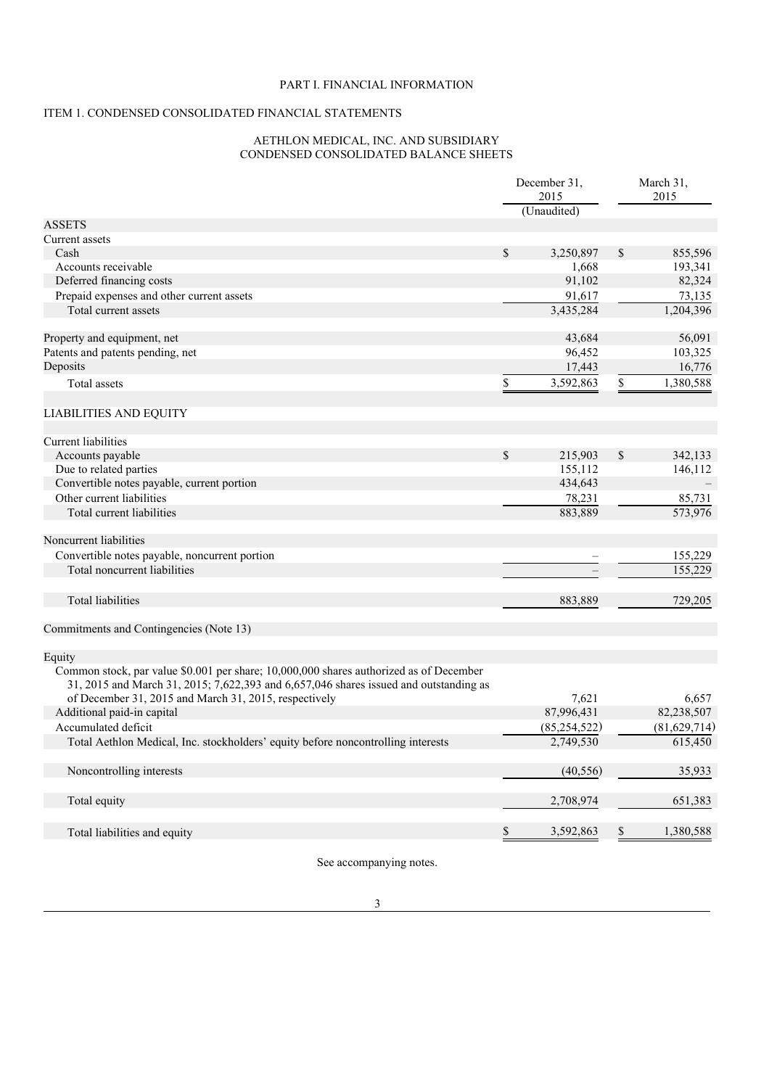# PART I. FINANCIAL INFORMATION

# ITEM 1. CONDENSED CONSOLIDATED FINANCIAL STATEMENTS

# AETHLON MEDICAL, INC. AND SUBSIDIARY CONDENSED CONSOLIDATED BALANCE SHEETS

|                                                                                                                                                                                 | December 31,<br>2015 | March 31,<br>2015 |                |  |
|---------------------------------------------------------------------------------------------------------------------------------------------------------------------------------|----------------------|-------------------|----------------|--|
|                                                                                                                                                                                 | (Unaudited)          |                   |                |  |
| <b>ASSETS</b>                                                                                                                                                                   |                      |                   |                |  |
| Current assets                                                                                                                                                                  |                      |                   |                |  |
| Cash                                                                                                                                                                            | \$<br>3,250,897      | \$                | 855,596        |  |
| Accounts receivable                                                                                                                                                             | 1,668                |                   | 193,341        |  |
| Deferred financing costs                                                                                                                                                        | 91,102               |                   | 82,324         |  |
| Prepaid expenses and other current assets                                                                                                                                       | 91,617               |                   | 73,135         |  |
| Total current assets                                                                                                                                                            | 3,435,284            |                   | 1,204,396      |  |
| Property and equipment, net                                                                                                                                                     | 43,684               |                   | 56,091         |  |
| Patents and patents pending, net                                                                                                                                                | 96,452               |                   | 103,325        |  |
| Deposits                                                                                                                                                                        | 17,443               |                   | 16,776         |  |
| Total assets                                                                                                                                                                    | \$<br>3,592,863      | \$                | 1,380,588      |  |
|                                                                                                                                                                                 |                      |                   |                |  |
| LIABILITIES AND EQUITY                                                                                                                                                          |                      |                   |                |  |
| Current liabilities                                                                                                                                                             |                      |                   |                |  |
| Accounts payable                                                                                                                                                                | \$<br>215,903        | $\mathbb{S}$      | 342,133        |  |
| Due to related parties                                                                                                                                                          | 155,112              |                   | 146,112        |  |
| Convertible notes payable, current portion                                                                                                                                      | 434,643              |                   |                |  |
| Other current liabilities                                                                                                                                                       | 78,231               |                   | 85,731         |  |
| Total current liabilities                                                                                                                                                       | 883,889              |                   | 573,976        |  |
|                                                                                                                                                                                 |                      |                   |                |  |
| Noncurrent liabilities                                                                                                                                                          |                      |                   |                |  |
| Convertible notes payable, noncurrent portion                                                                                                                                   |                      |                   | 155,229        |  |
| Total noncurrent liabilities                                                                                                                                                    |                      |                   | 155,229        |  |
| <b>Total liabilities</b>                                                                                                                                                        | 883,889              |                   | 729,205        |  |
| Commitments and Contingencies (Note 13)                                                                                                                                         |                      |                   |                |  |
|                                                                                                                                                                                 |                      |                   |                |  |
| Equity                                                                                                                                                                          |                      |                   |                |  |
| Common stock, par value \$0.001 per share; 10,000,000 shares authorized as of December<br>31, 2015 and March 31, 2015; 7,622,393 and 6,657,046 shares issued and outstanding as |                      |                   |                |  |
| of December 31, 2015 and March 31, 2015, respectively                                                                                                                           | 7,621                |                   | 6.657          |  |
| Additional paid-in capital                                                                                                                                                      | 87,996,431           |                   | 82,238,507     |  |
| Accumulated deficit                                                                                                                                                             | (85, 254, 522)       |                   | (81, 629, 714) |  |
| Total Aethlon Medical, Inc. stockholders' equity before noncontrolling interests                                                                                                | 2,749,530            |                   | 615,450        |  |
| Noncontrolling interests                                                                                                                                                        | (40, 556)            |                   | 35,933         |  |
| Total equity                                                                                                                                                                    | 2,708,974            |                   | 651,383        |  |
|                                                                                                                                                                                 |                      |                   |                |  |
| Total liabilities and equity                                                                                                                                                    | \$<br>3,592,863      | \$                | 1,380,588      |  |

See accompanying notes.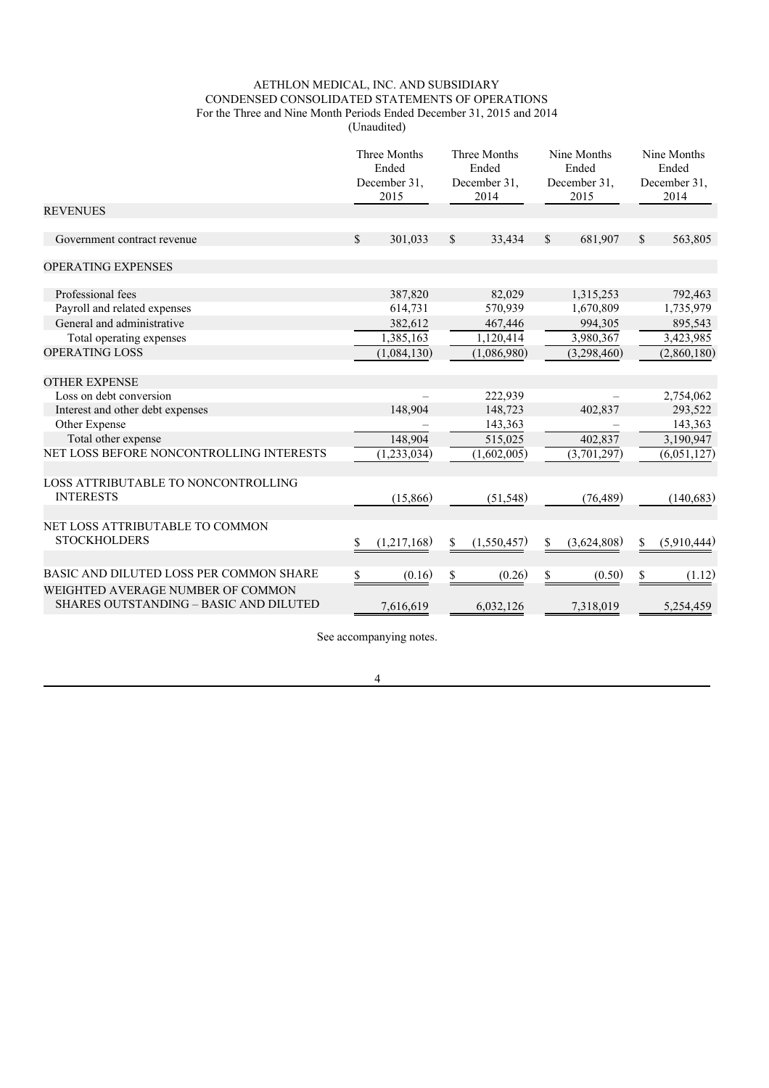### AETHLON MEDICAL, INC. AND SUBSIDIARY CONDENSED CONSOLIDATED STATEMENTS OF OPERATIONS For the Three and Nine Month Periods Ended December 31, 2015 and 2014 (Unaudited)

|                                                                                    |              | Three Months<br>Ended<br>December 31.<br>2015 |              | Three Months<br>Ended<br>December 31.<br>2014 |              | Nine Months<br>Ended<br>December 31.<br>2015 |              | Nine Months<br>Ended<br>December 31,<br>2014 |
|------------------------------------------------------------------------------------|--------------|-----------------------------------------------|--------------|-----------------------------------------------|--------------|----------------------------------------------|--------------|----------------------------------------------|
| <b>REVENUES</b>                                                                    |              |                                               |              |                                               |              |                                              |              |                                              |
| Government contract revenue                                                        | $\mathbb{S}$ | 301,033                                       | $\mathbb{S}$ | 33,434                                        | $\mathbb{S}$ | 681,907                                      | $\mathbb{S}$ | 563,805                                      |
| <b>OPERATING EXPENSES</b>                                                          |              |                                               |              |                                               |              |                                              |              |                                              |
| Professional fees                                                                  |              | 387,820                                       |              | 82,029                                        |              | 1,315,253                                    |              | 792,463                                      |
| Payroll and related expenses                                                       |              | 614,731                                       |              | 570,939                                       |              | 1,670,809                                    |              | 1,735,979                                    |
| General and administrative                                                         |              | 382,612                                       |              | 467,446                                       |              | 994,305                                      |              | 895,543                                      |
| Total operating expenses                                                           |              | 1,385,163                                     |              | 1,120,414                                     |              | 3,980,367                                    |              | 3,423,985                                    |
| <b>OPERATING LOSS</b>                                                              |              | (1,084,130)                                   |              | (1,086,980)                                   |              | (3,298,460)                                  |              | (2,860,180)                                  |
| <b>OTHER EXPENSE</b>                                                               |              |                                               |              |                                               |              |                                              |              |                                              |
| Loss on debt conversion                                                            |              |                                               |              | 222,939                                       |              |                                              |              | 2,754,062                                    |
| Interest and other debt expenses                                                   |              | 148,904                                       |              | 148,723                                       |              | 402,837                                      |              | 293,522                                      |
| Other Expense                                                                      |              |                                               |              | 143,363                                       |              |                                              |              | 143,363                                      |
| Total other expense                                                                |              | 148,904                                       |              | 515,025                                       |              | 402,837                                      |              | 3,190,947                                    |
| NET LOSS BEFORE NONCONTROLLING INTERESTS                                           |              | (1, 233, 034)                                 |              | (1,602,005)                                   |              | (3,701,297)                                  |              | (6,051,127)                                  |
| LOSS ATTRIBUTABLE TO NONCONTROLLING<br><b>INTERESTS</b>                            |              | (15,866)                                      |              | (51, 548)                                     |              | (76, 489)                                    |              | (140,683)                                    |
| NET LOSS ATTRIBUTABLE TO COMMON<br><b>STOCKHOLDERS</b>                             | \$           | (1,217,168)                                   | \$           | (1,550,457)                                   | \$           | (3,624,808)                                  | \$           | (5,910,444)                                  |
| BASIC AND DILUTED LOSS PER COMMON SHARE                                            | \$           | (0.16)                                        | \$           | (0.26)                                        | \$           | (0.50)                                       | \$           | (1.12)                                       |
| WEIGHTED AVERAGE NUMBER OF COMMON<br><b>SHARES OUTSTANDING - BASIC AND DILUTED</b> |              | 7,616,619                                     |              | 6,032,126                                     |              | 7,318,019                                    |              | 5,254,459                                    |

See accompanying notes.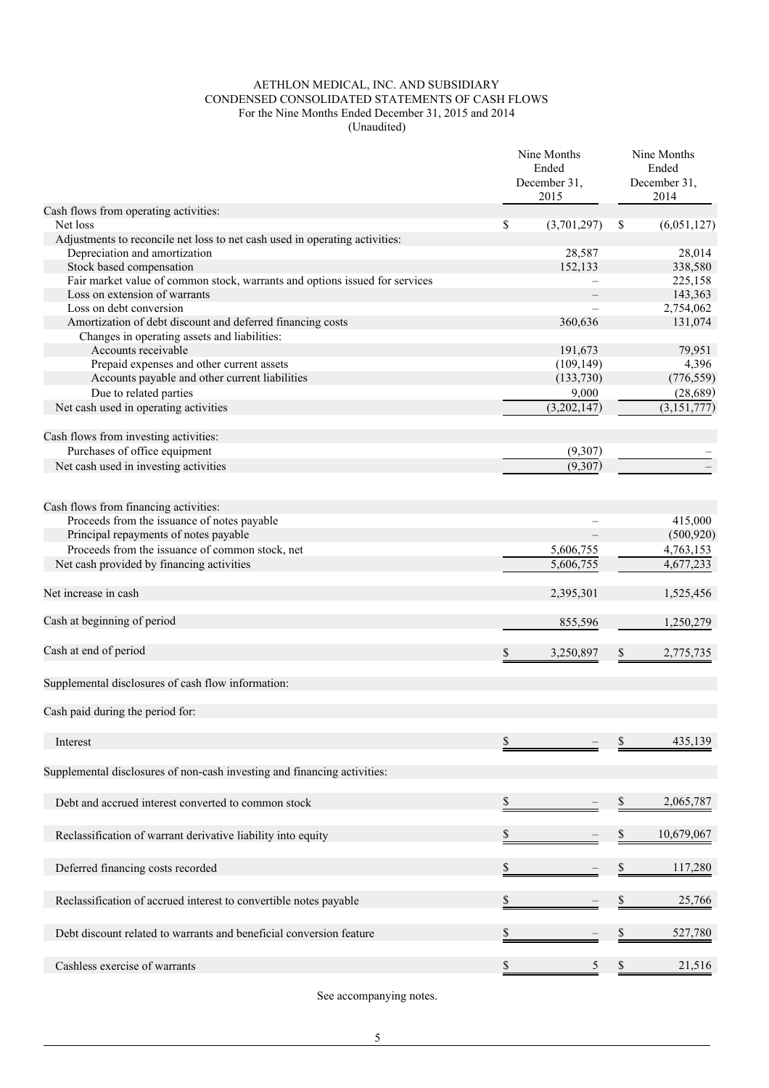### AETHLON MEDICAL, INC. AND SUBSIDIARY CONDENSED CONSOLIDATED STATEMENTS OF CASH FLOWS For the Nine Months Ended December 31, 2015 and 2014 (Unaudited)

|                                                                             |    | Nine Months<br>Ended<br>December 31,<br>2015 | Nine Months<br>Ended<br>December 31,<br>2014 |
|-----------------------------------------------------------------------------|----|----------------------------------------------|----------------------------------------------|
| Cash flows from operating activities:                                       |    |                                              |                                              |
| Net loss                                                                    | \$ | (3,701,297)                                  | \$<br>(6,051,127)                            |
| Adjustments to reconcile net loss to net cash used in operating activities: |    |                                              |                                              |
| Depreciation and amortization                                               |    | 28,587                                       | 28,014                                       |
| Stock based compensation                                                    |    | 152,133                                      | 338,580                                      |
| Fair market value of common stock, warrants and options issued for services |    |                                              | 225,158                                      |
| Loss on extension of warrants                                               |    |                                              | 143,363                                      |
| Loss on debt conversion                                                     |    |                                              | 2,754,062                                    |
| Amortization of debt discount and deferred financing costs                  |    | 360,636                                      | 131,074                                      |
| Changes in operating assets and liabilities:                                |    |                                              |                                              |
| Accounts receivable                                                         |    | 191,673                                      | 79,951                                       |
| Prepaid expenses and other current assets                                   |    | (109, 149)                                   | 4,396                                        |
| Accounts payable and other current liabilities                              |    | (133,730)                                    | (776, 559)                                   |
| Due to related parties                                                      |    | 9,000                                        | (28, 689)                                    |
| Net cash used in operating activities                                       |    | (3,202,147)                                  | (3, 151, 777)                                |
|                                                                             |    |                                              |                                              |
| Cash flows from investing activities:                                       |    |                                              |                                              |
| Purchases of office equipment                                               |    | (9,307)                                      |                                              |
| Net cash used in investing activities                                       |    | (9, 307)                                     |                                              |
|                                                                             |    |                                              |                                              |
| Cash flows from financing activities:                                       |    |                                              |                                              |
| Proceeds from the issuance of notes payable                                 |    |                                              | 415,000                                      |
|                                                                             |    |                                              |                                              |
| Principal repayments of notes payable                                       |    |                                              | (500, 920)                                   |
| Proceeds from the issuance of common stock, net                             |    | 5,606,755                                    | 4,763,153                                    |
| Net cash provided by financing activities                                   |    | 5,606,755                                    | 4,677,233                                    |
| Net increase in cash                                                        |    |                                              |                                              |
|                                                                             |    | 2,395,301                                    | 1,525,456                                    |
| Cash at beginning of period                                                 |    | 855,596                                      | 1,250,279                                    |
|                                                                             |    |                                              |                                              |
| Cash at end of period                                                       | \$ | 3,250,897                                    | \$<br>2,775,735                              |
|                                                                             |    |                                              |                                              |
| Supplemental disclosures of cash flow information:                          |    |                                              |                                              |
| Cash paid during the period for:                                            |    |                                              |                                              |
|                                                                             |    |                                              |                                              |
| Interest                                                                    | \$ |                                              | \$<br>435,139                                |
|                                                                             |    |                                              |                                              |
| Supplemental disclosures of non-cash investing and financing activities:    |    |                                              |                                              |
| Debt and accrued interest converted to common stock                         | \$ |                                              | \$<br>2,065,787                              |
|                                                                             |    |                                              |                                              |
| Reclassification of warrant derivative liability into equity                | \$ |                                              | \$<br>10,679,067                             |
|                                                                             |    |                                              |                                              |
| Deferred financing costs recorded                                           | \$ |                                              | \$<br>117,280                                |
|                                                                             |    |                                              |                                              |
|                                                                             |    |                                              |                                              |
| Reclassification of accrued interest to convertible notes payable           | \$ |                                              | \$<br>25,766                                 |
|                                                                             |    |                                              |                                              |
| Debt discount related to warrants and beneficial conversion feature         | \$ |                                              | \$<br>527,780                                |
|                                                                             |    |                                              |                                              |
| Cashless exercise of warrants                                               | \$ | 5                                            | \$<br>21,516                                 |
|                                                                             |    |                                              |                                              |

See accompanying notes.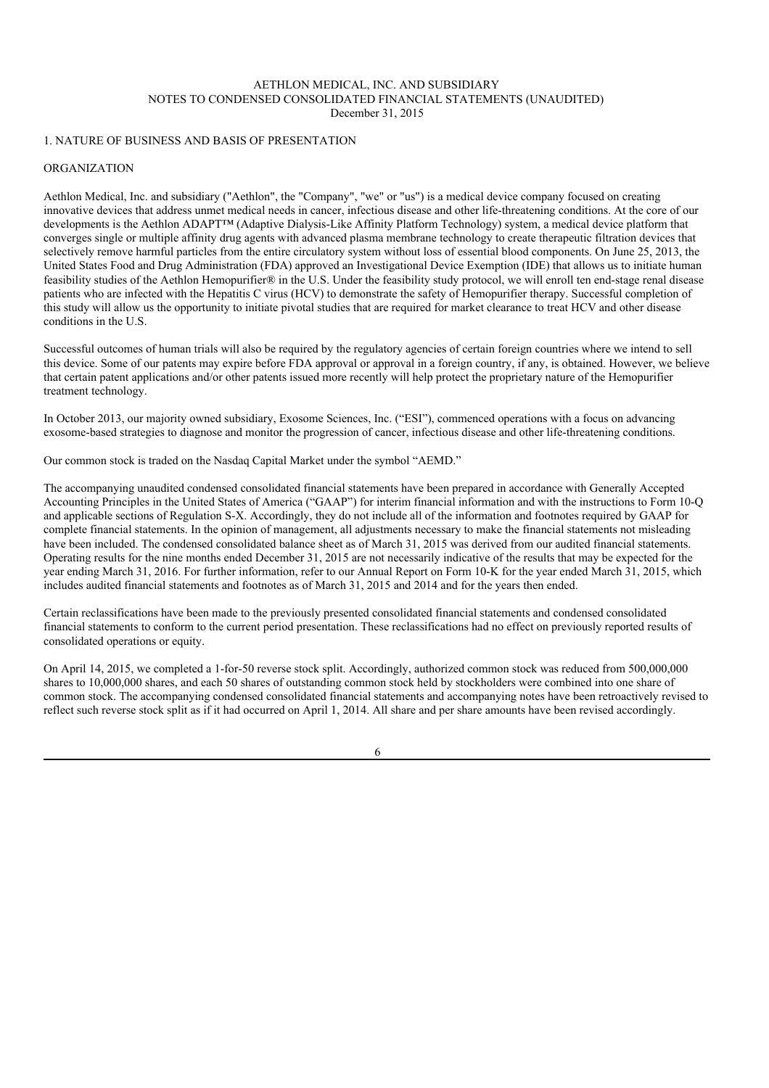### AETHLON MEDICAL, INC. AND SUBSIDIARY NOTES TO CONDENSED CONSOLIDATED FINANCIAL STATEMENTS (UNAUDITED) December 31, 2015

## 1. NATURE OF BUSINESS AND BASIS OF PRESENTATION

### ORGANIZATION

Aethlon Medical, Inc. and subsidiary ("Aethlon", the "Company", "we" or "us") is a medical device company focused on creating innovative devices that address unmet medical needs in cancer, infectious disease and other life-threatening conditions. At the core of our developments is the Aethlon ADAPT™ (Adaptive Dialysis-Like Affinity Platform Technology) system, a medical device platform that converges single or multiple affinity drug agents with advanced plasma membrane technology to create therapeutic filtration devices that selectively remove harmful particles from the entire circulatory system without loss of essential blood components. On June 25, 2013, the United States Food and Drug Administration (FDA) approved an Investigational Device Exemption (IDE) that allows us to initiate human feasibility studies of the Aethlon Hemopurifier® in the U.S. Under the feasibility study protocol, we will enroll ten end-stage renal disease patients who are infected with the Hepatitis C virus (HCV) to demonstrate the safety of Hemopurifier therapy. Successful completion of this study will allow us the opportunity to initiate pivotal studies that are required for market clearance to treat HCV and other disease conditions in the U.S.

Successful outcomes of human trials will also be required by the regulatory agencies of certain foreign countries where we intend to sell this device. Some of our patents may expire before FDA approval or approval in a foreign country, if any, is obtained. However, we believe that certain patent applications and/or other patents issued more recently will help protect the proprietary nature of the Hemopurifier treatment technology.

In October 2013, our majority owned subsidiary, Exosome Sciences, Inc. ("ESI"), commenced operations with a focus on advancing exosome-based strategies to diagnose and monitor the progression of cancer, infectious disease and other life-threatening conditions.

Our common stock is traded on the Nasdaq Capital Market under the symbol "AEMD."

The accompanying unaudited condensed consolidated financial statements have been prepared in accordance with Generally Accepted Accounting Principles in the United States of America ("GAAP") for interim financial information and with the instructions to Form 10-Q and applicable sections of Regulation S-X. Accordingly, they do not include all of the information and footnotes required by GAAP for complete financial statements. In the opinion of management, all adjustments necessary to make the financial statements not misleading have been included. The condensed consolidated balance sheet as of March 31, 2015 was derived from our audited financial statements. Operating results for the nine months ended December 31, 2015 are not necessarily indicative of the results that may be expected for the year ending March 31, 2016. For further information, refer to our Annual Report on Form 10-K for the year ended March 31, 2015, which includes audited financial statements and footnotes as of March 31, 2015 and 2014 and for the years then ended.

Certain reclassifications have been made to the previously presented consolidated financial statements and condensed consolidated financial statements to conform to the current period presentation. These reclassifications had no effect on previously reported results of consolidated operations or equity.

On April 14, 2015, we completed a 1-for-50 reverse stock split. Accordingly, authorized common stock was reduced from 500,000,000 shares to 10,000,000 shares, and each 50 shares of outstanding common stock held by stockholders were combined into one share of common stock. The accompanying condensed consolidated financial statements and accompanying notes have been retroactively revised to reflect such reverse stock split as if it had occurred on April 1, 2014. All share and per share amounts have been revised accordingly.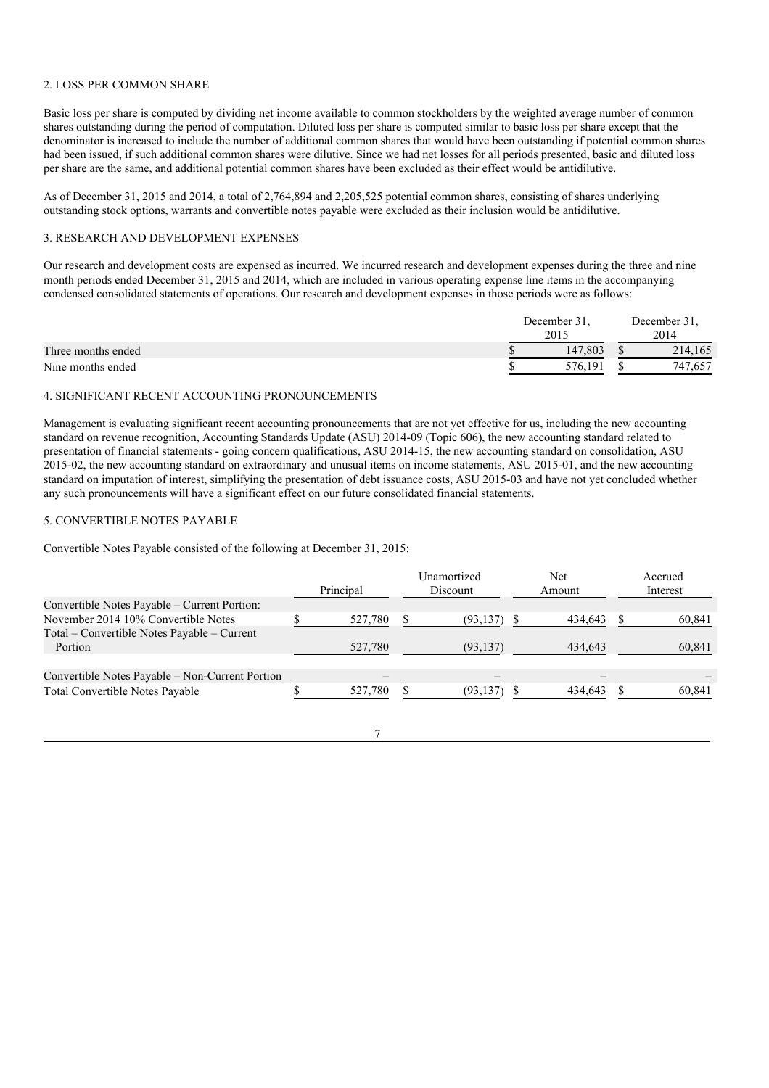### 2. LOSS PER COMMON SHARE

Basic loss per share is computed by dividing net income available to common stockholders by the weighted average number of common shares outstanding during the period of computation. Diluted loss per share is computed similar to basic loss per share except that the denominator is increased to include the number of additional common shares that would have been outstanding if potential common shares had been issued, if such additional common shares were dilutive. Since we had net losses for all periods presented, basic and diluted loss per share are the same, and additional potential common shares have been excluded as their effect would be antidilutive.

As of December 31, 2015 and 2014, a total of 2,764,894 and 2,205,525 potential common shares, consisting of shares underlying outstanding stock options, warrants and convertible notes payable were excluded as their inclusion would be antidilutive.

### 3. RESEARCH AND DEVELOPMENT EXPENSES

Our research and development costs are expensed as incurred. We incurred research and development expenses during the three and nine month periods ended December 31, 2015 and 2014, which are included in various operating expense line items in the accompanying condensed consolidated statements of operations. Our research and development expenses in those periods were as follows:

|                    | December 31,<br>2015 | December 31,<br>2014 |
|--------------------|----------------------|----------------------|
| Three months ended | 147.803              | 214,165              |
| Nine months ended  | .191<br>576.         | 747,657              |

### 4. SIGNIFICANT RECENT ACCOUNTING PRONOUNCEMENTS

Management is evaluating significant recent accounting pronouncements that are not yet effective for us, including the new accounting standard on revenue recognition, Accounting Standards Update (ASU) 2014-09 (Topic 606), the new accounting standard related to presentation of financial statements - going concern qualifications, ASU 2014-15, the new accounting standard on consolidation, ASU 2015-02, the new accounting standard on extraordinary and unusual items on income statements, ASU 2015-01, and the new accounting standard on imputation of interest, simplifying the presentation of debt issuance costs, ASU 2015-03 and have not yet concluded whether any such pronouncements will have a significant effect on our future consolidated financial statements.

### 5. CONVERTIBLE NOTES PAYABLE

Convertible Notes Payable consisted of the following at December 31, 2015:

|                                                        | Principal | Unamortized<br><b>Discount</b> | Net<br>Amount | Accrued<br>Interest |
|--------------------------------------------------------|-----------|--------------------------------|---------------|---------------------|
| Convertible Notes Payable – Current Portion:           |           |                                |               |                     |
| November 2014 10% Convertible Notes                    | 527,780   | (93, 137)                      | 434.643       | 60,841              |
| Total – Convertible Notes Payable – Current<br>Portion | 527,780   | (93, 137)                      | 434,643       | 60,841              |
| Convertible Notes Payable – Non-Current Portion        |           | $\overline{\phantom{a}}$       |               |                     |
| <b>Total Convertible Notes Payable</b>                 | 527,780   | (93, 137)                      | 434.643       | 60.841              |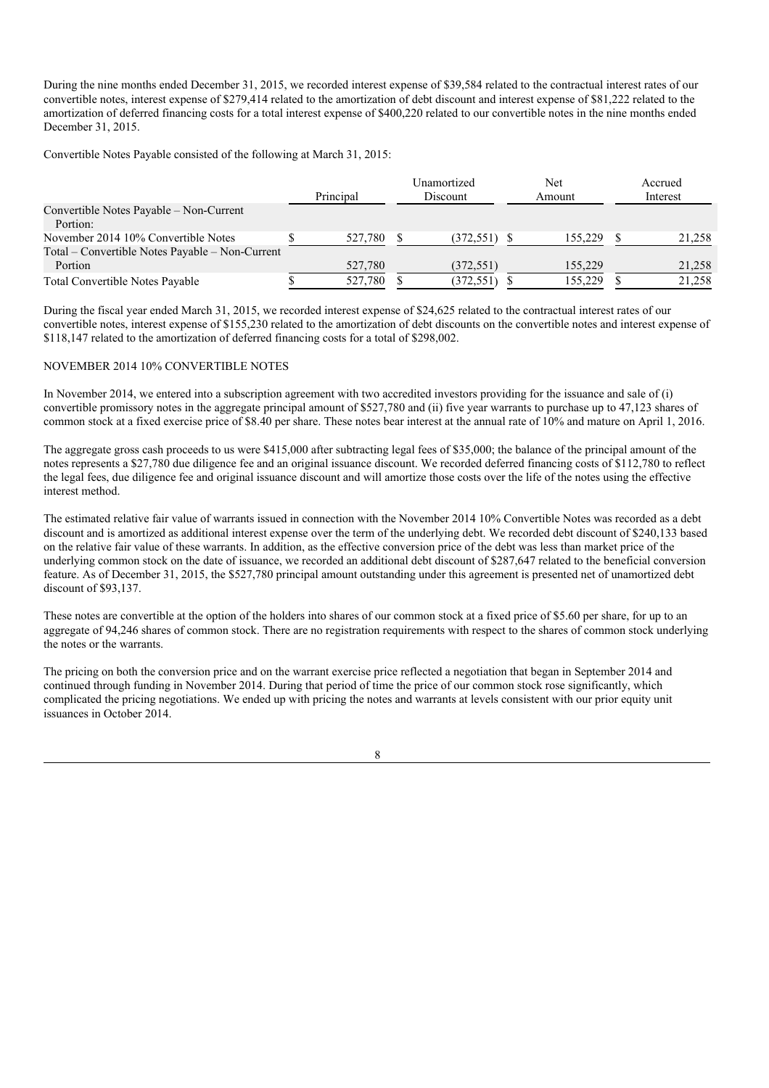During the nine months ended December 31, 2015, we recorded interest expense of \$39,584 related to the contractual interest rates of our convertible notes, interest expense of \$279,414 related to the amortization of debt discount and interest expense of \$81,222 related to the amortization of deferred financing costs for a total interest expense of \$400,220 related to our convertible notes in the nine months ended December 31, 2015.

Convertible Notes Payable consisted of the following at March 31, 2015:

|                                                 | Principal |         | Discount |            | Net<br>Unamortized<br>Amount |         |        |  | Accrued<br>Interest |
|-------------------------------------------------|-----------|---------|----------|------------|------------------------------|---------|--------|--|---------------------|
| Convertible Notes Payable – Non-Current         |           |         |          |            |                              |         |        |  |                     |
| Portion:                                        |           |         |          |            |                              |         |        |  |                     |
| November 2014 10% Convertible Notes             |           | 527,780 |          | (372.551)  |                              | 155,229 | 21,258 |  |                     |
| Total – Convertible Notes Payable – Non-Current |           |         |          |            |                              |         |        |  |                     |
| Portion                                         |           | 527,780 |          | (372, 551) |                              | 155,229 | 21,258 |  |                     |
| <b>Total Convertible Notes Payable</b>          |           | 527,780 |          | (372,551)  |                              | 155,229 | 21,258 |  |                     |

During the fiscal year ended March 31, 2015, we recorded interest expense of \$24,625 related to the contractual interest rates of our convertible notes, interest expense of \$155,230 related to the amortization of debt discounts on the convertible notes and interest expense of \$118,147 related to the amortization of deferred financing costs for a total of \$298,002.

### NOVEMBER 2014 10% CONVERTIBLE NOTES

In November 2014, we entered into a subscription agreement with two accredited investors providing for the issuance and sale of (i) convertible promissory notes in the aggregate principal amount of \$527,780 and (ii) five year warrants to purchase up to 47,123 shares of common stock at a fixed exercise price of \$8.40 per share. These notes bear interest at the annual rate of 10% and mature on April 1, 2016.

The aggregate gross cash proceeds to us were \$415,000 after subtracting legal fees of \$35,000; the balance of the principal amount of the notes represents a \$27,780 due diligence fee and an original issuance discount. We recorded deferred financing costs of \$112,780 to reflect the legal fees, due diligence fee and original issuance discount and will amortize those costs over the life of the notes using the effective interest method.

The estimated relative fair value of warrants issued in connection with the November 2014 10% Convertible Notes was recorded as a debt discount and is amortized as additional interest expense over the term of the underlying debt. We recorded debt discount of \$240,133 based on the relative fair value of these warrants. In addition, as the effective conversion price of the debt was less than market price of the underlying common stock on the date of issuance, we recorded an additional debt discount of \$287,647 related to the beneficial conversion feature. As of December 31, 2015, the \$527,780 principal amount outstanding under this agreement is presented net of unamortized debt discount of \$93,137.

These notes are convertible at the option of the holders into shares of our common stock at a fixed price of \$5.60 per share, for up to an aggregate of 94,246 shares of common stock. There are no registration requirements with respect to the shares of common stock underlying the notes or the warrants.

The pricing on both the conversion price and on the warrant exercise price reflected a negotiation that began in September 2014 and continued through funding in November 2014. During that period of time the price of our common stock rose significantly, which complicated the pricing negotiations. We ended up with pricing the notes and warrants at levels consistent with our prior equity unit issuances in October 2014.

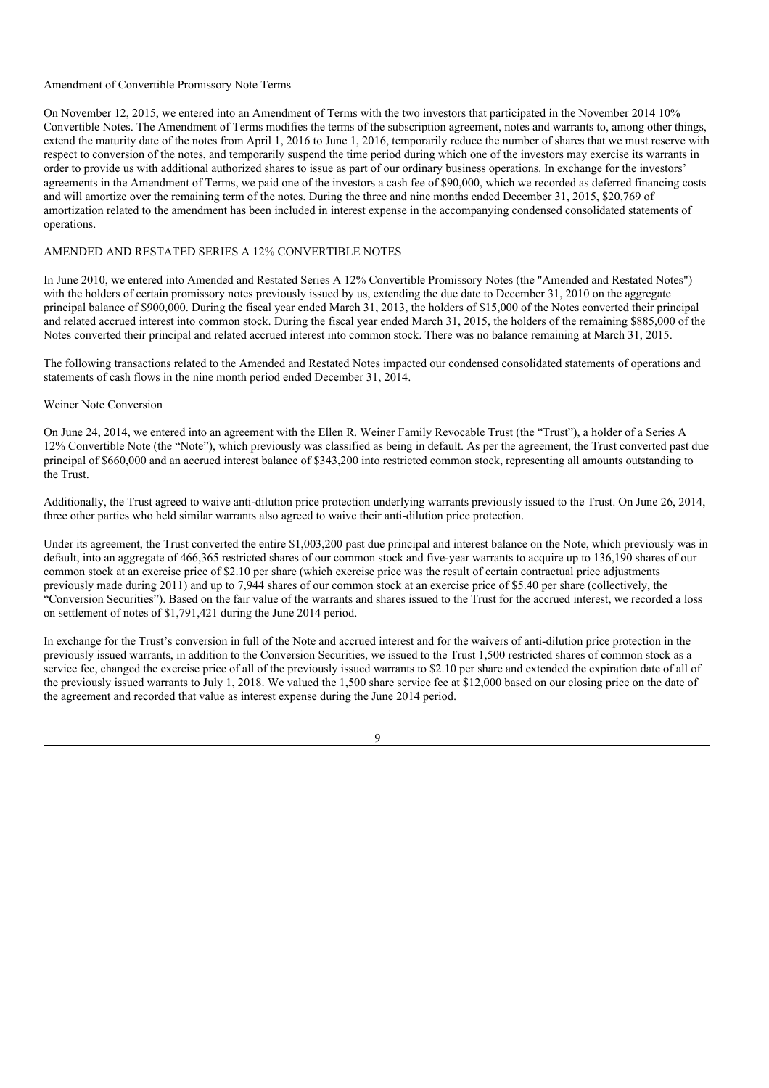#### Amendment of Convertible Promissory Note Terms

On November 12, 2015, we entered into an Amendment of Terms with the two investors that participated in the November 2014 10% Convertible Notes. The Amendment of Terms modifies the terms of the subscription agreement, notes and warrants to, among other things, extend the maturity date of the notes from April 1, 2016 to June 1, 2016, temporarily reduce the number of shares that we must reserve with respect to conversion of the notes, and temporarily suspend the time period during which one of the investors may exercise its warrants in order to provide us with additional authorized shares to issue as part of our ordinary business operations. In exchange for the investors' agreements in the Amendment of Terms, we paid one of the investors a cash fee of \$90,000, which we recorded as deferred financing costs and will amortize over the remaining term of the notes. During the three and nine months ended December 31, 2015, \$20,769 of amortization related to the amendment has been included in interest expense in the accompanying condensed consolidated statements of operations.

## AMENDED AND RESTATED SERIES A 12% CONVERTIBLE NOTES

In June 2010, we entered into Amended and Restated Series A 12% Convertible Promissory Notes (the "Amended and Restated Notes") with the holders of certain promissory notes previously issued by us, extending the due date to December 31, 2010 on the aggregate principal balance of \$900,000. During the fiscal year ended March 31, 2013, the holders of \$15,000 of the Notes converted their principal and related accrued interest into common stock. During the fiscal year ended March 31, 2015, the holders of the remaining \$885,000 of the Notes converted their principal and related accrued interest into common stock. There was no balance remaining at March 31, 2015.

The following transactions related to the Amended and Restated Notes impacted our condensed consolidated statements of operations and statements of cash flows in the nine month period ended December 31, 2014.

#### Weiner Note Conversion

On June 24, 2014, we entered into an agreement with the Ellen R. Weiner Family Revocable Trust (the "Trust"), a holder of a Series A 12% Convertible Note (the "Note"), which previously was classified as being in default. As per the agreement, the Trust converted past due principal of \$660,000 and an accrued interest balance of \$343,200 into restricted common stock, representing all amounts outstanding to the Trust.

Additionally, the Trust agreed to waive anti-dilution price protection underlying warrants previously issued to the Trust. On June 26, 2014, three other parties who held similar warrants also agreed to waive their anti-dilution price protection.

Under its agreement, the Trust converted the entire \$1,003,200 past due principal and interest balance on the Note, which previously was in default, into an aggregate of 466,365 restricted shares of our common stock and five-year warrants to acquire up to 136,190 shares of our common stock at an exercise price of \$2.10 per share (which exercise price was the result of certain contractual price adjustments previously made during 2011) and up to 7,944 shares of our common stock at an exercise price of \$5.40 per share (collectively, the "Conversion Securities"). Based on the fair value of the warrants and shares issued to the Trust for the accrued interest, we recorded a loss on settlement of notes of \$1,791,421 during the June 2014 period.

In exchange for the Trust's conversion in full of the Note and accrued interest and for the waivers of anti-dilution price protection in the previously issued warrants, in addition to the Conversion Securities, we issued to the Trust 1,500 restricted shares of common stock as a service fee, changed the exercise price of all of the previously issued warrants to \$2.10 per share and extended the expiration date of all of the previously issued warrants to July 1, 2018. We valued the 1,500 share service fee at \$12,000 based on our closing price on the date of the agreement and recorded that value as interest expense during the June 2014 period.

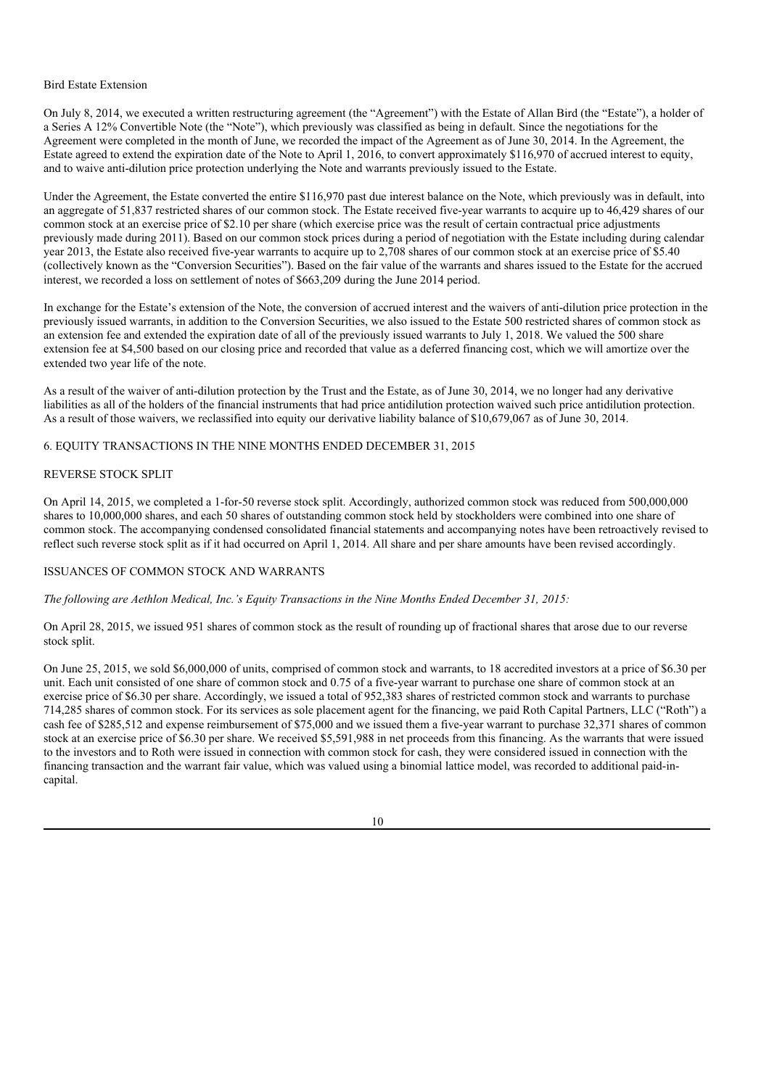#### Bird Estate Extension

On July 8, 2014, we executed a written restructuring agreement (the "Agreement") with the Estate of Allan Bird (the "Estate"), a holder of a Series A 12% Convertible Note (the "Note"), which previously was classified as being in default. Since the negotiations for the Agreement were completed in the month of June, we recorded the impact of the Agreement as of June 30, 2014. In the Agreement, the Estate agreed to extend the expiration date of the Note to April 1, 2016, to convert approximately \$116,970 of accrued interest to equity, and to waive anti-dilution price protection underlying the Note and warrants previously issued to the Estate.

Under the Agreement, the Estate converted the entire \$116,970 past due interest balance on the Note, which previously was in default, into an aggregate of 51,837 restricted shares of our common stock. The Estate received five-year warrants to acquire up to 46,429 shares of our common stock at an exercise price of \$2.10 per share (which exercise price was the result of certain contractual price adjustments previously made during 2011). Based on our common stock prices during a period of negotiation with the Estate including during calendar year 2013, the Estate also received five-year warrants to acquire up to 2,708 shares of our common stock at an exercise price of \$5.40 (collectively known as the "Conversion Securities"). Based on the fair value of the warrants and shares issued to the Estate for the accrued interest, we recorded a loss on settlement of notes of \$663,209 during the June 2014 period.

In exchange for the Estate's extension of the Note, the conversion of accrued interest and the waivers of anti-dilution price protection in the previously issued warrants, in addition to the Conversion Securities, we also issued to the Estate 500 restricted shares of common stock as an extension fee and extended the expiration date of all of the previously issued warrants to July 1, 2018. We valued the 500 share extension fee at \$4,500 based on our closing price and recorded that value as a deferred financing cost, which we will amortize over the extended two year life of the note.

As a result of the waiver of anti-dilution protection by the Trust and the Estate, as of June 30, 2014, we no longer had any derivative liabilities as all of the holders of the financial instruments that had price antidilution protection waived such price antidilution protection. As a result of those waivers, we reclassified into equity our derivative liability balance of \$10,679,067 as of June 30, 2014.

### 6. EQUITY TRANSACTIONS IN THE NINE MONTHS ENDED DECEMBER 31, 2015

#### REVERSE STOCK SPLIT

On April 14, 2015, we completed a 1-for-50 reverse stock split. Accordingly, authorized common stock was reduced from 500,000,000 shares to 10,000,000 shares, and each 50 shares of outstanding common stock held by stockholders were combined into one share of common stock. The accompanying condensed consolidated financial statements and accompanying notes have been retroactively revised to reflect such reverse stock split as if it had occurred on April 1, 2014. All share and per share amounts have been revised accordingly.

#### ISSUANCES OF COMMON STOCK AND WARRANTS

*The following are Aethlon Medical, Inc.'s Equity Transactions in the Nine Months Ended December 31, 2015:*

On April 28, 2015, we issued 951 shares of common stock as the result of rounding up of fractional shares that arose due to our reverse stock split.

On June 25, 2015, we sold \$6,000,000 of units, comprised of common stock and warrants, to 18 accredited investors at a price of \$6.30 per unit. Each unit consisted of one share of common stock and 0.75 of a five-year warrant to purchase one share of common stock at an exercise price of \$6.30 per share. Accordingly, we issued a total of 952,383 shares of restricted common stock and warrants to purchase 714,285 shares of common stock. For its services as sole placement agent for the financing, we paid Roth Capital Partners, LLC ("Roth") a cash fee of \$285,512 and expense reimbursement of \$75,000 and we issued them a five-year warrant to purchase 32,371 shares of common stock at an exercise price of \$6.30 per share. We received \$5,591,988 in net proceeds from this financing. As the warrants that were issued to the investors and to Roth were issued in connection with common stock for cash, they were considered issued in connection with the financing transaction and the warrant fair value, which was valued using a binomial lattice model, was recorded to additional paid-incapital.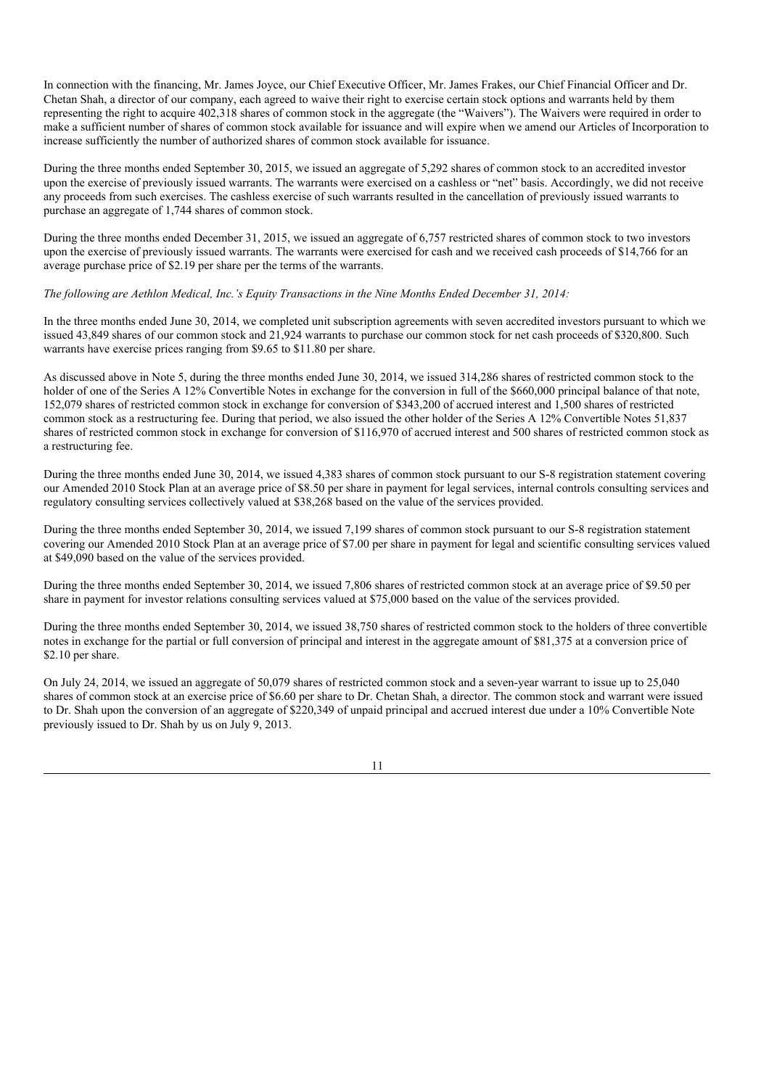In connection with the financing, Mr. James Joyce, our Chief Executive Officer, Mr. James Frakes, our Chief Financial Officer and Dr. Chetan Shah, a director of our company, each agreed to waive their right to exercise certain stock options and warrants held by them representing the right to acquire 402,318 shares of common stock in the aggregate (the "Waivers"). The Waivers were required in order to make a sufficient number of shares of common stock available for issuance and will expire when we amend our Articles of Incorporation to increase sufficiently the number of authorized shares of common stock available for issuance.

During the three months ended September 30, 2015, we issued an aggregate of 5,292 shares of common stock to an accredited investor upon the exercise of previously issued warrants. The warrants were exercised on a cashless or "net" basis. Accordingly, we did not receive any proceeds from such exercises. The cashless exercise of such warrants resulted in the cancellation of previously issued warrants to purchase an aggregate of 1,744 shares of common stock.

During the three months ended December 31, 2015, we issued an aggregate of 6,757 restricted shares of common stock to two investors upon the exercise of previously issued warrants. The warrants were exercised for cash and we received cash proceeds of \$14,766 for an average purchase price of \$2.19 per share per the terms of the warrants.

*The following are Aethlon Medical, Inc.'s Equity Transactions in the Nine Months Ended December 31, 2014:*

In the three months ended June 30, 2014, we completed unit subscription agreements with seven accredited investors pursuant to which we issued 43,849 shares of our common stock and 21,924 warrants to purchase our common stock for net cash proceeds of \$320,800. Such warrants have exercise prices ranging from \$9.65 to \$11.80 per share.

As discussed above in Note 5, during the three months ended June 30, 2014, we issued 314,286 shares of restricted common stock to the holder of one of the Series A 12% Convertible Notes in exchange for the conversion in full of the \$660,000 principal balance of that note, 152,079 shares of restricted common stock in exchange for conversion of \$343,200 of accrued interest and 1,500 shares of restricted common stock as a restructuring fee. During that period, we also issued the other holder of the Series A 12% Convertible Notes 51,837 shares of restricted common stock in exchange for conversion of \$116,970 of accrued interest and 500 shares of restricted common stock as a restructuring fee.

During the three months ended June 30, 2014, we issued 4,383 shares of common stock pursuant to our S-8 registration statement covering our Amended 2010 Stock Plan at an average price of \$8.50 per share in payment for legal services, internal controls consulting services and regulatory consulting services collectively valued at \$38,268 based on the value of the services provided.

During the three months ended September 30, 2014, we issued 7,199 shares of common stock pursuant to our S-8 registration statement covering our Amended 2010 Stock Plan at an average price of \$7.00 per share in payment for legal and scientific consulting services valued at \$49,090 based on the value of the services provided.

During the three months ended September 30, 2014, we issued 7,806 shares of restricted common stock at an average price of \$9.50 per share in payment for investor relations consulting services valued at \$75,000 based on the value of the services provided.

During the three months ended September 30, 2014, we issued 38,750 shares of restricted common stock to the holders of three convertible notes in exchange for the partial or full conversion of principal and interest in the aggregate amount of \$81,375 at a conversion price of \$2.10 per share.

On July 24, 2014, we issued an aggregate of 50,079 shares of restricted common stock and a seven-year warrant to issue up to 25,040 shares of common stock at an exercise price of \$6.60 per share to Dr. Chetan Shah, a director. The common stock and warrant were issued to Dr. Shah upon the conversion of an aggregate of \$220,349 of unpaid principal and accrued interest due under a 10% Convertible Note previously issued to Dr. Shah by us on July 9, 2013.

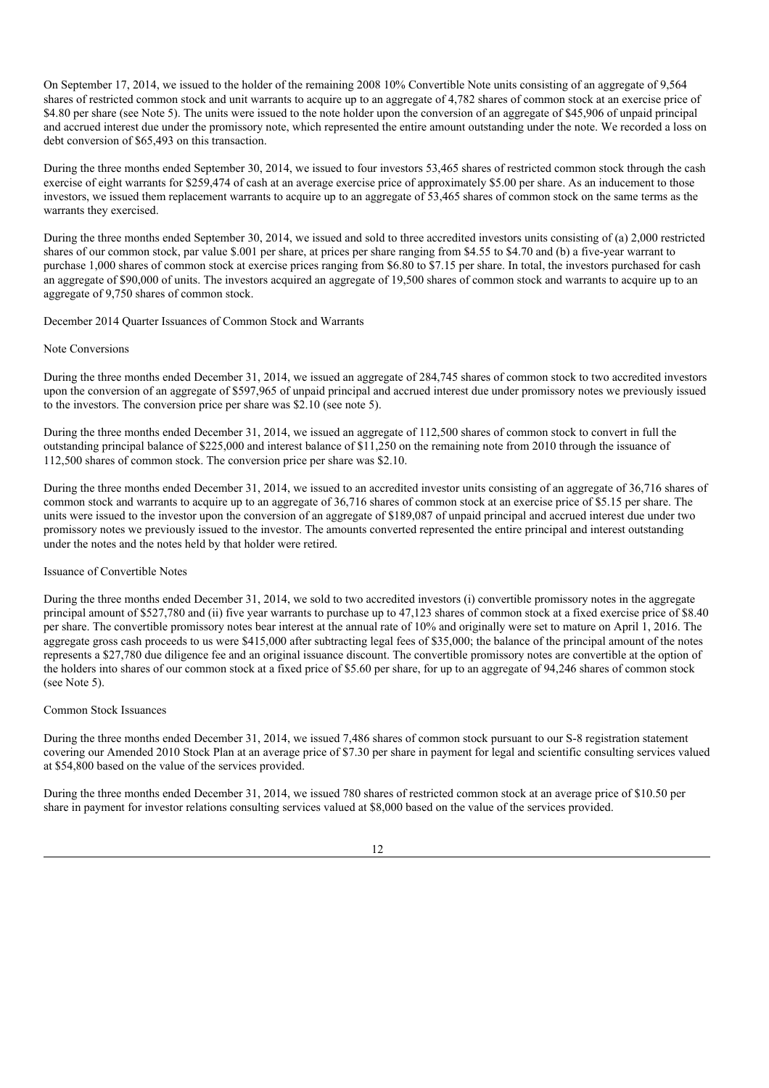On September 17, 2014, we issued to the holder of the remaining 2008 10% Convertible Note units consisting of an aggregate of 9,564 shares of restricted common stock and unit warrants to acquire up to an aggregate of 4,782 shares of common stock at an exercise price of \$4.80 per share (see Note 5). The units were issued to the note holder upon the conversion of an aggregate of \$45,906 of unpaid principal and accrued interest due under the promissory note, which represented the entire amount outstanding under the note. We recorded a loss on debt conversion of \$65,493 on this transaction.

During the three months ended September 30, 2014, we issued to four investors 53,465 shares of restricted common stock through the cash exercise of eight warrants for \$259,474 of cash at an average exercise price of approximately \$5.00 per share. As an inducement to those investors, we issued them replacement warrants to acquire up to an aggregate of 53,465 shares of common stock on the same terms as the warrants they exercised.

During the three months ended September 30, 2014, we issued and sold to three accredited investors units consisting of (a) 2,000 restricted shares of our common stock, par value \$.001 per share, at prices per share ranging from \$4.55 to \$4.70 and (b) a five-year warrant to purchase 1,000 shares of common stock at exercise prices ranging from \$6.80 to \$7.15 per share. In total, the investors purchased for cash an aggregate of \$90,000 of units. The investors acquired an aggregate of 19,500 shares of common stock and warrants to acquire up to an aggregate of 9,750 shares of common stock.

December 2014 Quarter Issuances of Common Stock and Warrants

### Note Conversions

During the three months ended December 31, 2014, we issued an aggregate of 284,745 shares of common stock to two accredited investors upon the conversion of an aggregate of \$597,965 of unpaid principal and accrued interest due under promissory notes we previously issued to the investors. The conversion price per share was \$2.10 (see note 5).

During the three months ended December 31, 2014, we issued an aggregate of 112,500 shares of common stock to convert in full the outstanding principal balance of \$225,000 and interest balance of \$11,250 on the remaining note from 2010 through the issuance of 112,500 shares of common stock. The conversion price per share was \$2.10.

During the three months ended December 31, 2014, we issued to an accredited investor units consisting of an aggregate of 36,716 shares of common stock and warrants to acquire up to an aggregate of 36,716 shares of common stock at an exercise price of \$5.15 per share. The units were issued to the investor upon the conversion of an aggregate of \$189,087 of unpaid principal and accrued interest due under two promissory notes we previously issued to the investor. The amounts converted represented the entire principal and interest outstanding under the notes and the notes held by that holder were retired.

### Issuance of Convertible Notes

During the three months ended December 31, 2014, we sold to two accredited investors (i) convertible promissory notes in the aggregate principal amount of \$527,780 and (ii) five year warrants to purchase up to 47,123 shares of common stock at a fixed exercise price of \$8.40 per share. The convertible promissory notes bear interest at the annual rate of 10% and originally were set to mature on April 1, 2016. The aggregate gross cash proceeds to us were \$415,000 after subtracting legal fees of \$35,000; the balance of the principal amount of the notes represents a \$27,780 due diligence fee and an original issuance discount. The convertible promissory notes are convertible at the option of the holders into shares of our common stock at a fixed price of \$5.60 per share, for up to an aggregate of 94,246 shares of common stock (see Note 5).

#### Common Stock Issuances

During the three months ended December 31, 2014, we issued 7,486 shares of common stock pursuant to our S-8 registration statement covering our Amended 2010 Stock Plan at an average price of \$7.30 per share in payment for legal and scientific consulting services valued at \$54,800 based on the value of the services provided.

During the three months ended December 31, 2014, we issued 780 shares of restricted common stock at an average price of \$10.50 per share in payment for investor relations consulting services valued at \$8,000 based on the value of the services provided.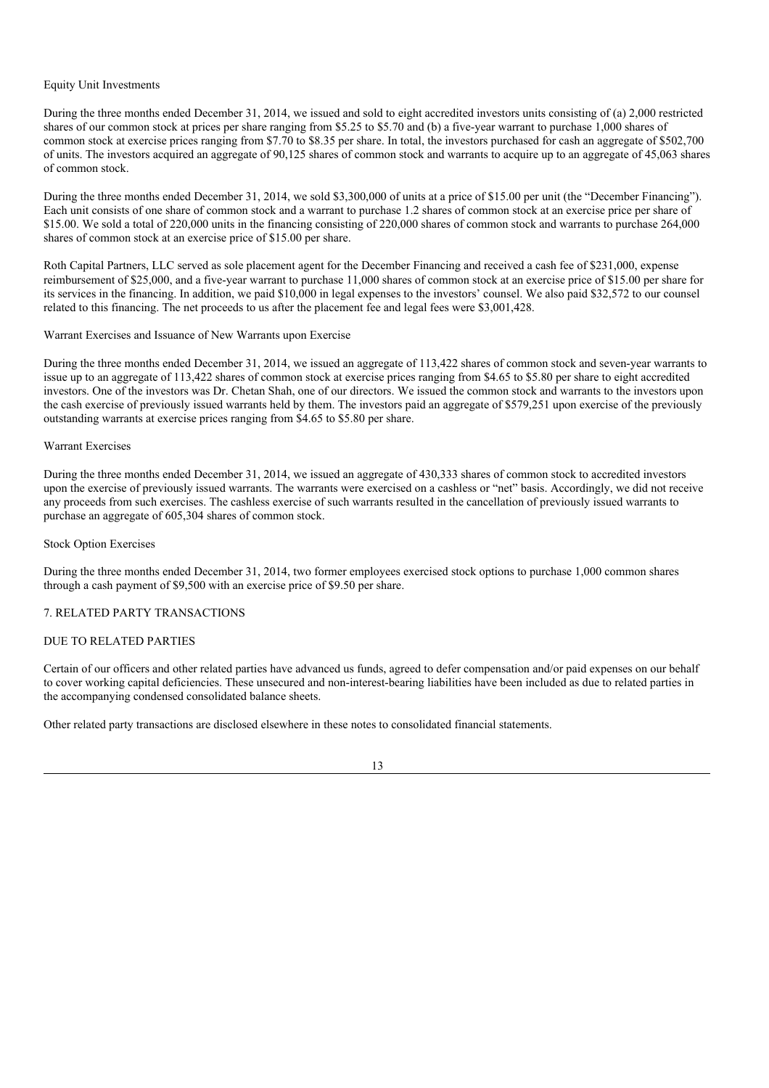### Equity Unit Investments

During the three months ended December 31, 2014, we issued and sold to eight accredited investors units consisting of (a) 2,000 restricted shares of our common stock at prices per share ranging from \$5.25 to \$5.70 and (b) a five-year warrant to purchase 1,000 shares of common stock at exercise prices ranging from \$7.70 to \$8.35 per share. In total, the investors purchased for cash an aggregate of \$502,700 of units. The investors acquired an aggregate of 90,125 shares of common stock and warrants to acquire up to an aggregate of 45,063 shares of common stock.

During the three months ended December 31, 2014, we sold \$3,300,000 of units at a price of \$15.00 per unit (the "December Financing"). Each unit consists of one share of common stock and a warrant to purchase 1.2 shares of common stock at an exercise price per share of \$15.00. We sold a total of 220,000 units in the financing consisting of 220,000 shares of common stock and warrants to purchase 264,000 shares of common stock at an exercise price of \$15.00 per share.

Roth Capital Partners, LLC served as sole placement agent for the December Financing and received a cash fee of \$231,000, expense reimbursement of \$25,000, and a five-year warrant to purchase 11,000 shares of common stock at an exercise price of \$15.00 per share for its services in the financing. In addition, we paid \$10,000 in legal expenses to the investors' counsel. We also paid \$32,572 to our counsel related to this financing. The net proceeds to us after the placement fee and legal fees were \$3,001,428.

#### Warrant Exercises and Issuance of New Warrants upon Exercise

During the three months ended December 31, 2014, we issued an aggregate of 113,422 shares of common stock and seven-year warrants to issue up to an aggregate of 113,422 shares of common stock at exercise prices ranging from \$4.65 to \$5.80 per share to eight accredited investors. One of the investors was Dr. Chetan Shah, one of our directors. We issued the common stock and warrants to the investors upon the cash exercise of previously issued warrants held by them. The investors paid an aggregate of \$579,251 upon exercise of the previously outstanding warrants at exercise prices ranging from \$4.65 to \$5.80 per share.

### Warrant Exercises

During the three months ended December 31, 2014, we issued an aggregate of 430,333 shares of common stock to accredited investors upon the exercise of previously issued warrants. The warrants were exercised on a cashless or "net" basis. Accordingly, we did not receive any proceeds from such exercises. The cashless exercise of such warrants resulted in the cancellation of previously issued warrants to purchase an aggregate of 605,304 shares of common stock.

#### Stock Option Exercises

During the three months ended December 31, 2014, two former employees exercised stock options to purchase 1,000 common shares through a cash payment of \$9,500 with an exercise price of \$9.50 per share.

### 7. RELATED PARTY TRANSACTIONS

### DUE TO RELATED PARTIES

Certain of our officers and other related parties have advanced us funds, agreed to defer compensation and/or paid expenses on our behalf to cover working capital deficiencies. These unsecured and non-interest-bearing liabilities have been included as due to related parties in the accompanying condensed consolidated balance sheets.

Other related party transactions are disclosed elsewhere in these notes to consolidated financial statements.

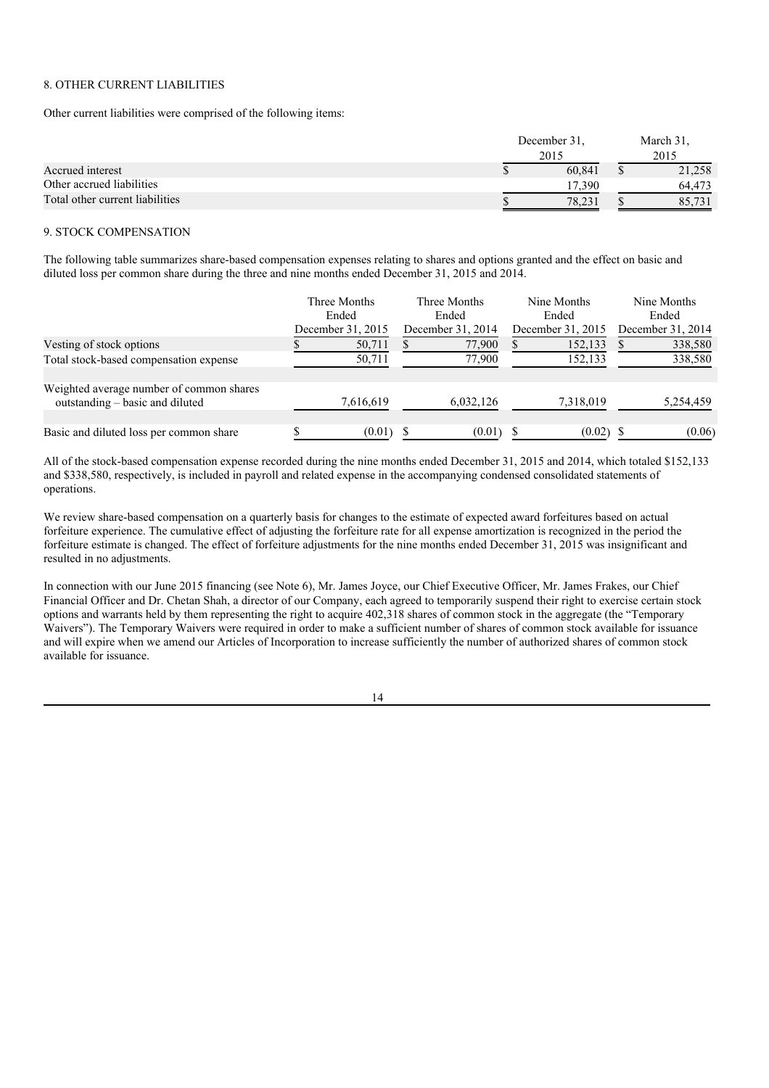## 8. OTHER CURRENT LIABILITIES

Other current liabilities were comprised of the following items:

|                                 | December 31. | March 31. |
|---------------------------------|--------------|-----------|
|                                 | 2015         | 2015      |
| Accrued interest                | 60.841       | 21,258    |
| Other accrued liabilities       | 17.390       | 64,473    |
| Total other current liabilities | 78.231       | 85,731    |

## 9. STOCK COMPENSATION

The following table summarizes share-based compensation expenses relating to shares and options granted and the effect on basic and diluted loss per common share during the three and nine months ended December 31, 2015 and 2014.

|                                                                             | Three Months<br>Ended<br>December 31, 2015 | Three Months<br>Ended<br>December 31, 2014 | Nine Months<br>Ended<br>December 31, 2015 |           | Nine Months<br>Ended<br>December 31, 2014 |
|-----------------------------------------------------------------------------|--------------------------------------------|--------------------------------------------|-------------------------------------------|-----------|-------------------------------------------|
| Vesting of stock options                                                    | 50,711                                     | 77,900                                     |                                           | 152,133   | 338,580                                   |
| Total stock-based compensation expense                                      | 50,711                                     | 77,900                                     |                                           | 152,133   | 338,580                                   |
| Weighted average number of common shares<br>outstanding – basic and diluted | 7,616,619                                  | 6,032,126                                  |                                           | 7,318,019 | 5,254,459                                 |
| Basic and diluted loss per common share                                     | (0.01)                                     | (0.01)                                     |                                           | (0.02)    | (0.06)                                    |

All of the stock-based compensation expense recorded during the nine months ended December 31, 2015 and 2014, which totaled \$152,133 and \$338,580, respectively, is included in payroll and related expense in the accompanying condensed consolidated statements of operations.

We review share-based compensation on a quarterly basis for changes to the estimate of expected award forfeitures based on actual forfeiture experience. The cumulative effect of adjusting the forfeiture rate for all expense amortization is recognized in the period the forfeiture estimate is changed. The effect of forfeiture adjustments for the nine months ended December 31, 2015 was insignificant and resulted in no adjustments.

In connection with our June 2015 financing (see Note 6), Mr. James Joyce, our Chief Executive Officer, Mr. James Frakes, our Chief Financial Officer and Dr. Chetan Shah, a director of our Company, each agreed to temporarily suspend their right to exercise certain stock options and warrants held by them representing the right to acquire 402,318 shares of common stock in the aggregate (the "Temporary Waivers"). The Temporary Waivers were required in order to make a sufficient number of shares of common stock available for issuance and will expire when we amend our Articles of Incorporation to increase sufficiently the number of authorized shares of common stock available for issuance.

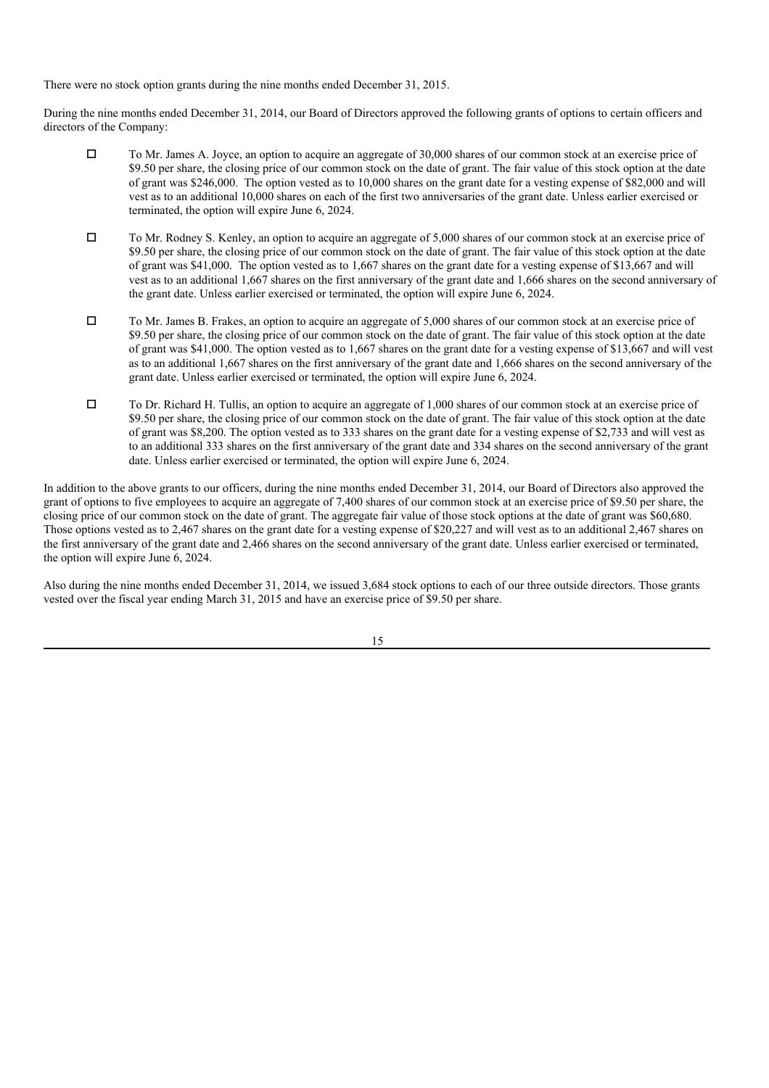There were no stock option grants during the nine months ended December 31, 2015.

During the nine months ended December 31, 2014, our Board of Directors approved the following grants of options to certain officers and directors of the Company:

- $\square$  To Mr. James A. Joyce, an option to acquire an aggregate of 30,000 shares of our common stock at an exercise price of \$9.50 per share, the closing price of our common stock on the date of grant. The fair value of this stock option at the date of grant was \$246,000. The option vested as to 10,000 shares on the grant date for a vesting expense of \$82,000 and will vest as to an additional 10,000 shares on each of the first two anniversaries of the grant date. Unless earlier exercised or terminated, the option will expire June 6, 2024.
- $\square$  To Mr. Rodney S. Kenley, an option to acquire an aggregate of 5,000 shares of our common stock at an exercise price of \$9.50 per share, the closing price of our common stock on the date of grant. The fair value of this stock option at the date of grant was \$41,000. The option vested as to 1,667 shares on the grant date for a vesting expense of \$13,667 and will vest as to an additional 1,667 shares on the first anniversary of the grant date and 1,666 shares on the second anniversary of the grant date. Unless earlier exercised or terminated, the option will expire June 6, 2024.
- $\square$  To Mr. James B. Frakes, an option to acquire an aggregate of 5,000 shares of our common stock at an exercise price of \$9.50 per share, the closing price of our common stock on the date of grant. The fair value of this stock option at the date of grant was \$41,000. The option vested as to 1,667 shares on the grant date for a vesting expense of \$13,667 and will vest as to an additional 1,667 shares on the first anniversary of the grant date and 1,666 shares on the second anniversary of the grant date. Unless earlier exercised or terminated, the option will expire June 6, 2024.
- $\square$  To Dr. Richard H. Tullis, an option to acquire an aggregate of 1,000 shares of our common stock at an exercise price of \$9.50 per share, the closing price of our common stock on the date of grant. The fair value of this stock option at the date of grant was \$8,200. The option vested as to 333 shares on the grant date for a vesting expense of \$2,733 and will vest as to an additional 333 shares on the first anniversary of the grant date and 334 shares on the second anniversary of the grant date. Unless earlier exercised or terminated, the option will expire June 6, 2024.

In addition to the above grants to our officers, during the nine months ended December 31, 2014, our Board of Directors also approved the grant of options to five employees to acquire an aggregate of 7,400 shares of our common stock at an exercise price of \$9.50 per share, the closing price of our common stock on the date of grant. The aggregate fair value of those stock options at the date of grant was \$60,680. Those options vested as to 2,467 shares on the grant date for a vesting expense of \$20,227 and will vest as to an additional 2,467 shares on the first anniversary of the grant date and 2,466 shares on the second anniversary of the grant date. Unless earlier exercised or terminated, the option will expire June 6, 2024.

Also during the nine months ended December 31, 2014, we issued 3,684 stock options to each of our three outside directors. Those grants vested over the fiscal year ending March 31, 2015 and have an exercise price of \$9.50 per share.

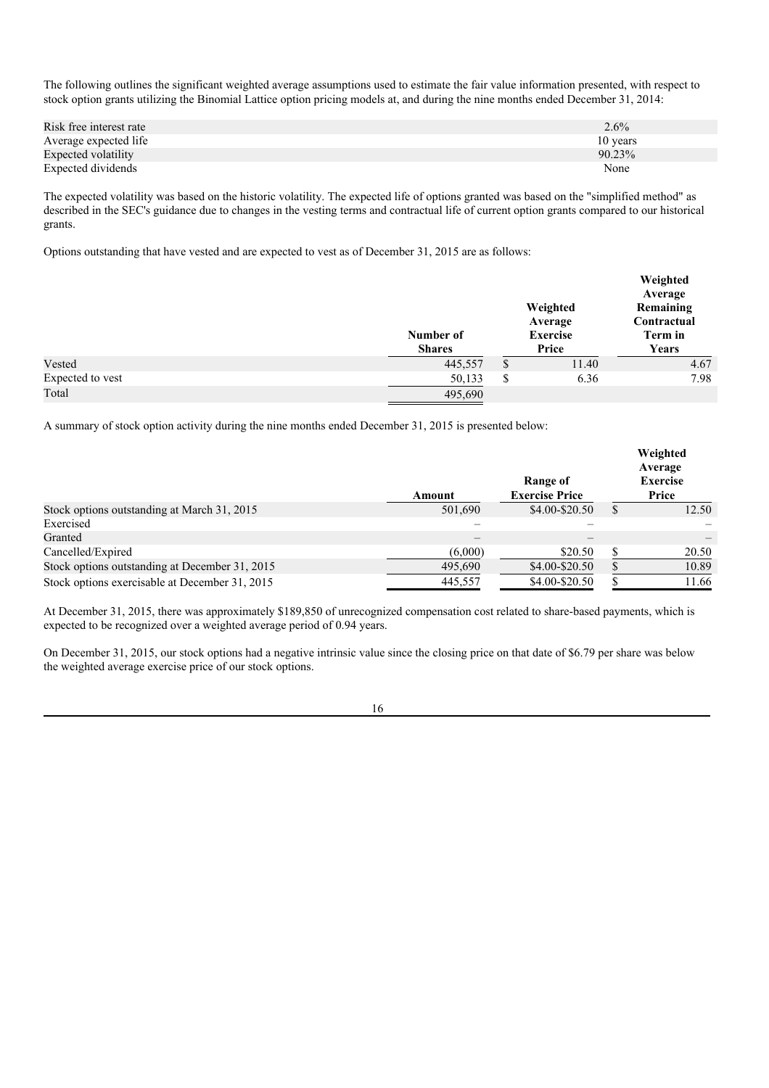The following outlines the significant weighted average assumptions used to estimate the fair value information presented, with respect to stock option grants utilizing the Binomial Lattice option pricing models at, and during the nine months ended December 31, 2014:

| Risk free interest rate | $2.6\%$   |
|-------------------------|-----------|
| Average expected life   | 10 years  |
| Expected volatility     | $90.23\%$ |
| Expected dividends      | None      |

The expected volatility was based on the historic volatility. The expected life of options granted was based on the "simplified method" as described in the SEC's guidance due to changes in the vesting terms and contractual life of current option grants compared to our historical grants.

Options outstanding that have vested and are expected to vest as of December 31, 2015 are as follows:

|                  | Number of<br><b>Shares</b> | Weighted<br>Average<br><b>Exercise</b><br>Price | Weighted<br>Average<br>Remaining<br>Contractual<br>Term in<br>Years |
|------------------|----------------------------|-------------------------------------------------|---------------------------------------------------------------------|
| Vested           | 445,557                    | \$<br>11.40                                     | 4.67                                                                |
| Expected to vest | 50,133                     | \$<br>6.36                                      | 7.98                                                                |
| Total            | 495,690                    |                                                 |                                                                     |

A summary of stock option activity during the nine months ended December 31, 2015 is presented below:

|                                                |         |                                   |     | Weighted<br>Average      |
|------------------------------------------------|---------|-----------------------------------|-----|--------------------------|
|                                                | Amount  | Range of<br><b>Exercise Price</b> |     | <b>Exercise</b><br>Price |
| Stock options outstanding at March 31, 2015    | 501,690 | \$4.00-\$20.50                    | \$. | 12.50                    |
| Exercised                                      |         |                                   |     |                          |
| Granted                                        |         |                                   |     |                          |
| Cancelled/Expired                              | (6,000) | \$20.50                           | S   | 20.50                    |
| Stock options outstanding at December 31, 2015 | 495,690 | \$4.00-\$20.50                    |     | 10.89                    |
| Stock options exercisable at December 31, 2015 | 445,557 | \$4.00-\$20.50                    |     | 11.66                    |

At December 31, 2015, there was approximately \$189,850 of unrecognized compensation cost related to share-based payments, which is expected to be recognized over a weighted average period of 0.94 years.

On December 31, 2015, our stock options had a negative intrinsic value since the closing price on that date of \$6.79 per share was below the weighted average exercise price of our stock options.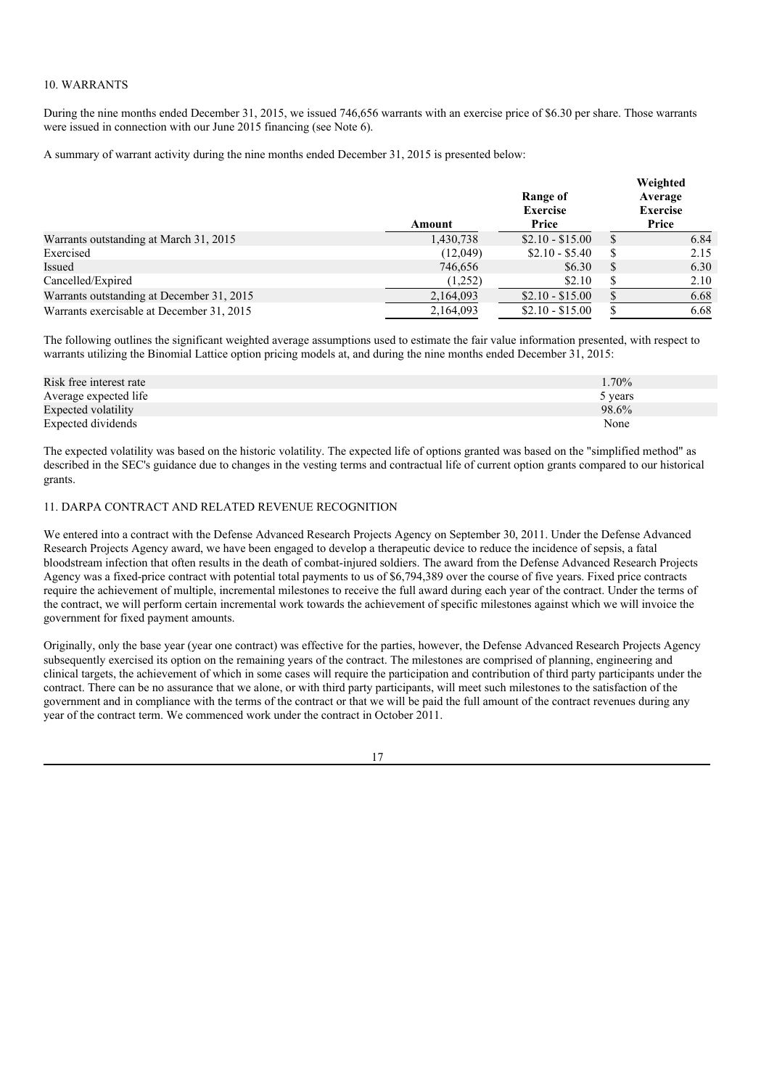#### 10. WARRANTS

During the nine months ended December 31, 2015, we issued 746,656 warrants with an exercise price of \$6.30 per share. Those warrants were issued in connection with our June 2015 financing (see Note 6).

A summary of warrant activity during the nine months ended December 31, 2015 is presented below:

|                                           | Amount    | Range of<br><b>Exercise</b><br>Price |    | Weighted<br>Average<br><b>Exercise</b><br>Price |
|-------------------------------------------|-----------|--------------------------------------|----|-------------------------------------------------|
| Warrants outstanding at March 31, 2015    | 1,430,738 | $$2.10 - $15.00$                     | S. | 6.84                                            |
| Exercised                                 | (12,049)  | $$2.10 - $5.40$                      | \$ | 2.15                                            |
| Issued                                    | 746,656   | \$6.30                               | S  | 6.30                                            |
| Cancelled/Expired                         | (1,252)   | \$2.10                               |    | 2.10                                            |
| Warrants outstanding at December 31, 2015 | 2,164,093 | $$2.10 - $15.00$                     |    | 6.68                                            |
| Warrants exercisable at December 31, 2015 | 2,164,093 | $$2.10 - $15.00$                     |    | 6.68                                            |

The following outlines the significant weighted average assumptions used to estimate the fair value information presented, with respect to warrants utilizing the Binomial Lattice option pricing models at, and during the nine months ended December 31, 2015:

| Risk free interest rate | 1.70%   |
|-------------------------|---------|
| Average expected life   | 5 years |
| Expected volatility     | 98.6%   |
| Expected dividends      | None    |

The expected volatility was based on the historic volatility. The expected life of options granted was based on the "simplified method" as described in the SEC's guidance due to changes in the vesting terms and contractual life of current option grants compared to our historical grants.

#### 11. DARPA CONTRACT AND RELATED REVENUE RECOGNITION

We entered into a contract with the Defense Advanced Research Projects Agency on September 30, 2011. Under the Defense Advanced Research Projects Agency award, we have been engaged to develop a therapeutic device to reduce the incidence of sepsis, a fatal bloodstream infection that often results in the death of combat-injured soldiers. The award from the Defense Advanced Research Projects Agency was a fixed-price contract with potential total payments to us of \$6,794,389 over the course of five years. Fixed price contracts require the achievement of multiple, incremental milestones to receive the full award during each year of the contract. Under the terms of the contract, we will perform certain incremental work towards the achievement of specific milestones against which we will invoice the government for fixed payment amounts.

Originally, only the base year (year one contract) was effective for the parties, however, the Defense Advanced Research Projects Agency subsequently exercised its option on the remaining years of the contract. The milestones are comprised of planning, engineering and clinical targets, the achievement of which in some cases will require the participation and contribution of third party participants under the contract. There can be no assurance that we alone, or with third party participants, will meet such milestones to the satisfaction of the government and in compliance with the terms of the contract or that we will be paid the full amount of the contract revenues during any year of the contract term. We commenced work under the contract in October 2011.

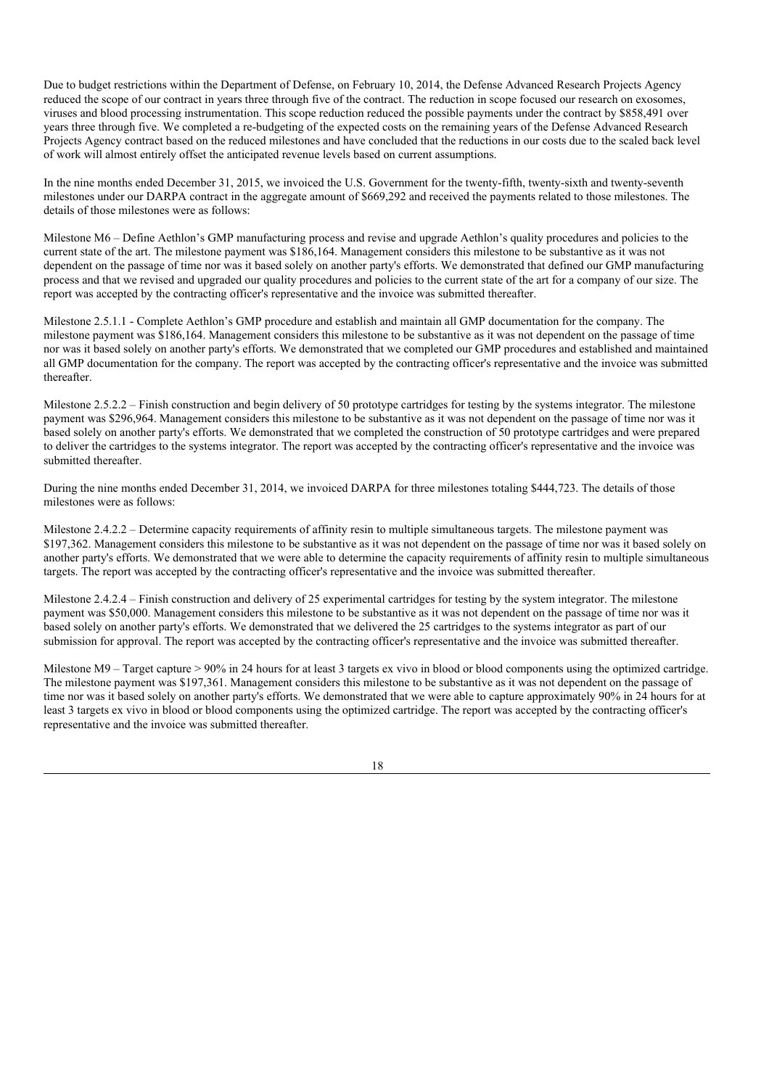Due to budget restrictions within the Department of Defense, on February 10, 2014, the Defense Advanced Research Projects Agency reduced the scope of our contract in years three through five of the contract. The reduction in scope focused our research on exosomes, viruses and blood processing instrumentation. This scope reduction reduced the possible payments under the contract by \$858,491 over years three through five. We completed a re-budgeting of the expected costs on the remaining years of the Defense Advanced Research Projects Agency contract based on the reduced milestones and have concluded that the reductions in our costs due to the scaled back level of work will almost entirely offset the anticipated revenue levels based on current assumptions.

In the nine months ended December 31, 2015, we invoiced the U.S. Government for the twenty-fifth, twenty-sixth and twenty-seventh milestones under our DARPA contract in the aggregate amount of \$669,292 and received the payments related to those milestones. The details of those milestones were as follows:

Milestone M6 – Define Aethlon's GMP manufacturing process and revise and upgrade Aethlon's quality procedures and policies to the current state of the art. The milestone payment was \$186,164. Management considers this milestone to be substantive as it was not dependent on the passage of time nor was it based solely on another party's efforts. We demonstrated that defined our GMP manufacturing process and that we revised and upgraded our quality procedures and policies to the current state of the art for a company of our size. The report was accepted by the contracting officer's representative and the invoice was submitted thereafter.

Milestone 2.5.1.1 - Complete Aethlon's GMP procedure and establish and maintain all GMP documentation for the company. The milestone payment was \$186,164. Management considers this milestone to be substantive as it was not dependent on the passage of time nor was it based solely on another party's efforts. We demonstrated that we completed our GMP procedures and established and maintained all GMP documentation for the company. The report was accepted by the contracting officer's representative and the invoice was submitted thereafter.

Milestone 2.5.2.2 – Finish construction and begin delivery of 50 prototype cartridges for testing by the systems integrator. The milestone payment was \$296,964. Management considers this milestone to be substantive as it was not dependent on the passage of time nor was it based solely on another party's efforts. We demonstrated that we completed the construction of 50 prototype cartridges and were prepared to deliver the cartridges to the systems integrator. The report was accepted by the contracting officer's representative and the invoice was submitted thereafter.

During the nine months ended December 31, 2014, we invoiced DARPA for three milestones totaling \$444,723. The details of those milestones were as follows:

Milestone 2.4.2.2 – Determine capacity requirements of affinity resin to multiple simultaneous targets. The milestone payment was \$197,362. Management considers this milestone to be substantive as it was not dependent on the passage of time nor was it based solely on another party's efforts. We demonstrated that we were able to determine the capacity requirements of affinity resin to multiple simultaneous targets. The report was accepted by the contracting officer's representative and the invoice was submitted thereafter.

Milestone 2.4.2.4 – Finish construction and delivery of 25 experimental cartridges for testing by the system integrator. The milestone payment was \$50,000. Management considers this milestone to be substantive as it was not dependent on the passage of time nor was it based solely on another party's efforts. We demonstrated that we delivered the 25 cartridges to the systems integrator as part of our submission for approval. The report was accepted by the contracting officer's representative and the invoice was submitted thereafter.

Milestone M9 – Target capture > 90% in 24 hours for at least 3 targets ex vivo in blood or blood components using the optimized cartridge. The milestone payment was \$197,361. Management considers this milestone to be substantive as it was not dependent on the passage of time nor was it based solely on another party's efforts. We demonstrated that we were able to capture approximately 90% in 24 hours for at least 3 targets ex vivo in blood or blood components using the optimized cartridge. The report was accepted by the contracting officer's representative and the invoice was submitted thereafter.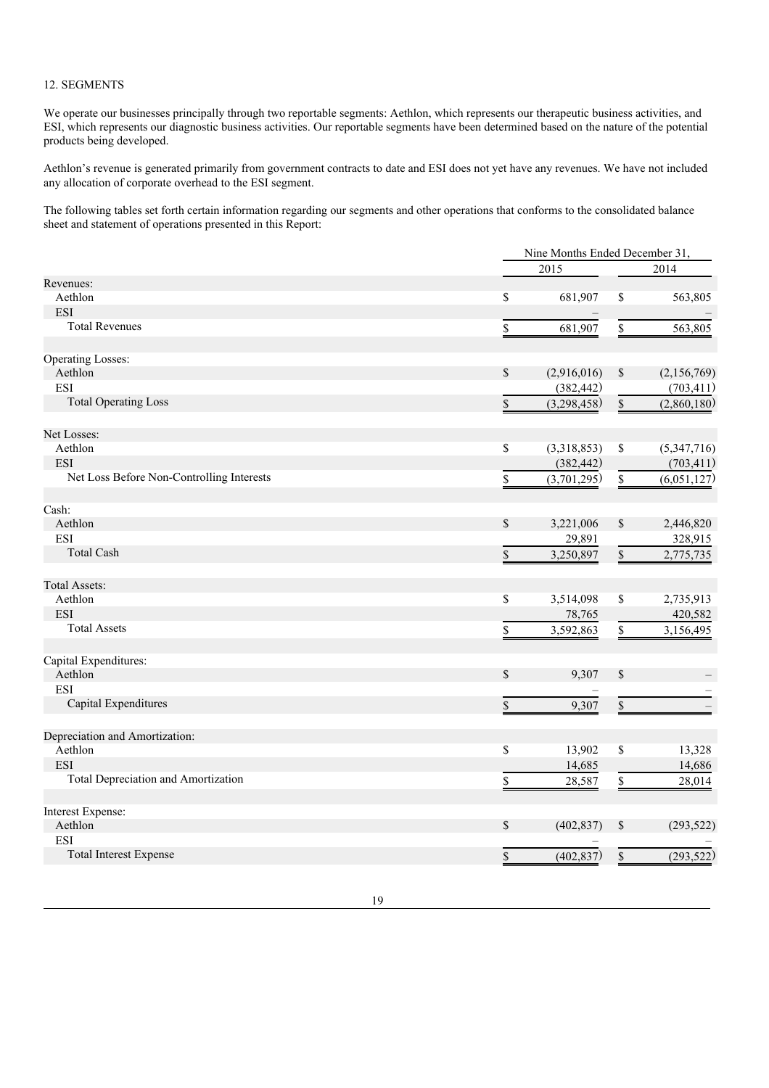### 12. SEGMENTS

We operate our businesses principally through two reportable segments: Aethlon, which represents our therapeutic business activities, and ESI, which represents our diagnostic business activities. Our reportable segments have been determined based on the nature of the potential products being developed.

Aethlon's revenue is generated primarily from government contracts to date and ESI does not yet have any revenues. We have not included any allocation of corporate overhead to the ESI segment.

The following tables set forth certain information regarding our segments and other operations that conforms to the consolidated balance sheet and statement of operations presented in this Report:

|                                           | Nine Months Ended December 31, |             |               |             |  |
|-------------------------------------------|--------------------------------|-------------|---------------|-------------|--|
|                                           |                                | 2015        |               | 2014        |  |
| Revenues:                                 |                                |             |               |             |  |
| Aethlon                                   | \$                             | 681,907     | \$            | 563,805     |  |
| <b>ESI</b>                                |                                |             |               |             |  |
| <b>Total Revenues</b>                     | \$                             | 681,907     | \$            | 563,805     |  |
| <b>Operating Losses:</b>                  |                                |             |               |             |  |
| Aethlon                                   | \$                             | (2,916,016) | \$            | (2,156,769) |  |
| <b>ESI</b>                                |                                | (382, 442)  |               | (703, 411)  |  |
| <b>Total Operating Loss</b>               | \$                             | (3,298,458) | \$            | (2,860,180) |  |
| Net Losses:                               |                                |             |               |             |  |
| Aethlon                                   | \$                             | (3,318,853) | \$            | (5,347,716) |  |
| <b>ESI</b>                                |                                | (382, 442)  |               | (703, 411)  |  |
| Net Loss Before Non-Controlling Interests | \$                             | (3,701,295) | \$            | (6,051,127) |  |
| Cash:                                     |                                |             |               |             |  |
| Aethlon                                   | \$                             | 3,221,006   | \$            | 2,446,820   |  |
| <b>ESI</b>                                |                                | 29,891      |               | 328,915     |  |
| <b>Total Cash</b>                         | \$                             | 3,250,897   | \$            | 2,775,735   |  |
| <b>Total Assets:</b>                      |                                |             |               |             |  |
| Aethlon                                   | \$                             | 3,514,098   | \$            | 2,735,913   |  |
| <b>ESI</b>                                |                                | 78,765      |               | 420,582     |  |
| <b>Total Assets</b>                       | \$                             | 3,592,863   | \$            | 3,156,495   |  |
| Capital Expenditures:                     |                                |             |               |             |  |
| Aethlon                                   | \$                             | 9,307       | \$            |             |  |
| <b>ESI</b>                                |                                |             |               |             |  |
| Capital Expenditures                      | \$                             | 9,307       | $\frac{1}{2}$ |             |  |
| Depreciation and Amortization:            |                                |             |               |             |  |
| Aethlon                                   | \$                             | 13,902      | \$            | 13,328      |  |
| <b>ESI</b>                                |                                | 14,685      |               | 14,686      |  |
| Total Depreciation and Amortization       | \$                             | 28,587      | \$            | 28,014      |  |
| Interest Expense:                         |                                |             |               |             |  |
| Aethlon                                   | \$                             | (402, 837)  | $\$$          | (293, 522)  |  |
| <b>ESI</b>                                |                                |             |               |             |  |
| <b>Total Interest Expense</b>             | \$                             | (402, 837)  | \$            | (293, 522)  |  |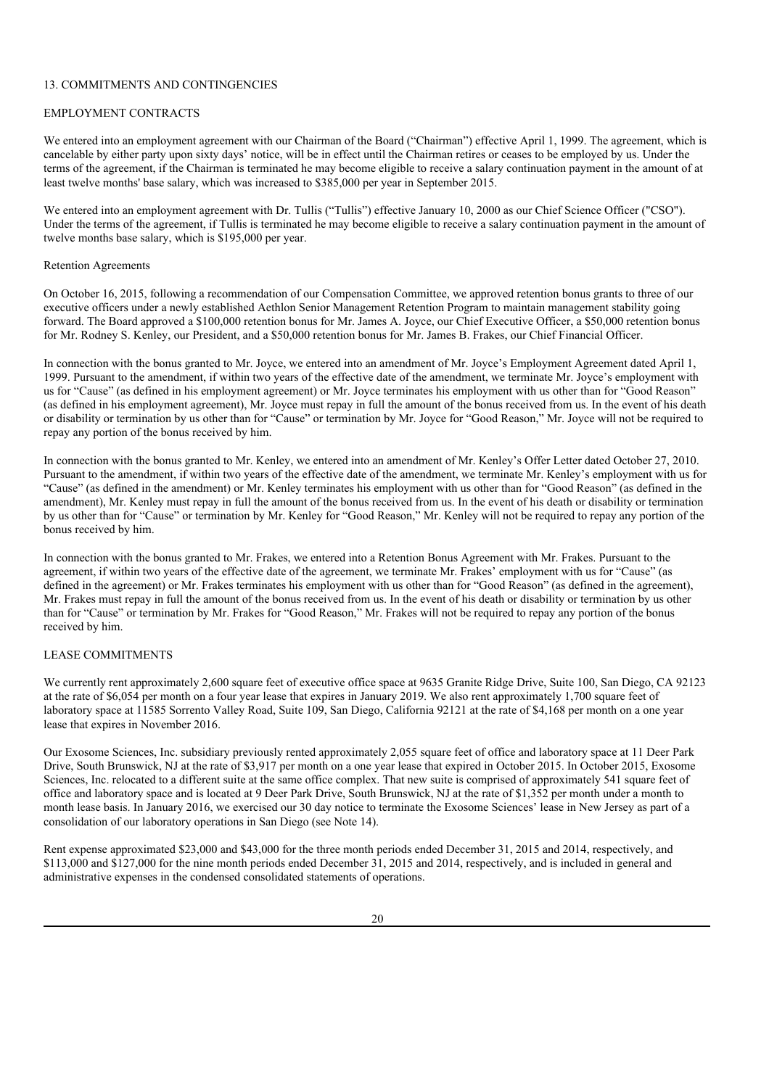### 13. COMMITMENTS AND CONTINGENCIES

### EMPLOYMENT CONTRACTS

We entered into an employment agreement with our Chairman of the Board ("Chairman") effective April 1, 1999. The agreement, which is cancelable by either party upon sixty days' notice, will be in effect until the Chairman retires or ceases to be employed by us. Under the terms of the agreement, if the Chairman is terminated he may become eligible to receive a salary continuation payment in the amount of at least twelve months' base salary, which was increased to \$385,000 per year in September 2015.

We entered into an employment agreement with Dr. Tullis ("Tullis") effective January 10, 2000 as our Chief Science Officer ("CSO"). Under the terms of the agreement, if Tullis is terminated he may become eligible to receive a salary continuation payment in the amount of twelve months base salary, which is \$195,000 per year.

#### Retention Agreements

On October 16, 2015, following a recommendation of our Compensation Committee, we approved retention bonus grants to three of our executive officers under a newly established Aethlon Senior Management Retention Program to maintain management stability going forward. The Board approved a \$100,000 retention bonus for Mr. James A. Joyce, our Chief Executive Officer, a \$50,000 retention bonus for Mr. Rodney S. Kenley, our President, and a \$50,000 retention bonus for Mr. James B. Frakes, our Chief Financial Officer.

In connection with the bonus granted to Mr. Joyce, we entered into an amendment of Mr. Joyce's Employment Agreement dated April 1, 1999. Pursuant to the amendment, if within two years of the effective date of the amendment, we terminate Mr. Joyce's employment with us for "Cause" (as defined in his employment agreement) or Mr. Joyce terminates his employment with us other than for "Good Reason" (as defined in his employment agreement), Mr. Joyce must repay in full the amount of the bonus received from us. In the event of his death or disability or termination by us other than for "Cause" or termination by Mr. Joyce for "Good Reason," Mr. Joyce will not be required to repay any portion of the bonus received by him.

In connection with the bonus granted to Mr. Kenley, we entered into an amendment of Mr. Kenley's Offer Letter dated October 27, 2010. Pursuant to the amendment, if within two years of the effective date of the amendment, we terminate Mr. Kenley's employment with us for "Cause" (as defined in the amendment) or Mr. Kenley terminates his employment with us other than for "Good Reason" (as defined in the amendment), Mr. Kenley must repay in full the amount of the bonus received from us. In the event of his death or disability or termination by us other than for "Cause" or termination by Mr. Kenley for "Good Reason," Mr. Kenley will not be required to repay any portion of the bonus received by him.

In connection with the bonus granted to Mr. Frakes, we entered into a Retention Bonus Agreement with Mr. Frakes. Pursuant to the agreement, if within two years of the effective date of the agreement, we terminate Mr. Frakes' employment with us for "Cause" (as defined in the agreement) or Mr. Frakes terminates his employment with us other than for "Good Reason" (as defined in the agreement), Mr. Frakes must repay in full the amount of the bonus received from us. In the event of his death or disability or termination by us other than for "Cause" or termination by Mr. Frakes for "Good Reason," Mr. Frakes will not be required to repay any portion of the bonus received by him.

### LEASE COMMITMENTS

We currently rent approximately 2,600 square feet of executive office space at 9635 Granite Ridge Drive, Suite 100, San Diego, CA 92123 at the rate of \$6,054 per month on a four year lease that expires in January 2019. We also rent approximately 1,700 square feet of laboratory space at 11585 Sorrento Valley Road, Suite 109, San Diego, California 92121 at the rate of \$4,168 per month on a one year lease that expires in November 2016.

Our Exosome Sciences, Inc. subsidiary previously rented approximately 2,055 square feet of office and laboratory space at 11 Deer Park Drive, South Brunswick, NJ at the rate of \$3,917 per month on a one year lease that expired in October 2015. In October 2015, Exosome Sciences, Inc. relocated to a different suite at the same office complex. That new suite is comprised of approximately 541 square feet of office and laboratory space and is located at 9 Deer Park Drive, South Brunswick, NJ at the rate of \$1,352 per month under a month to month lease basis. In January 2016, we exercised our 30 day notice to terminate the Exosome Sciences' lease in New Jersey as part of a consolidation of our laboratory operations in San Diego (see Note 14).

Rent expense approximated \$23,000 and \$43,000 for the three month periods ended December 31, 2015 and 2014, respectively, and \$113,000 and \$127,000 for the nine month periods ended December 31, 2015 and 2014, respectively, and is included in general and administrative expenses in the condensed consolidated statements of operations.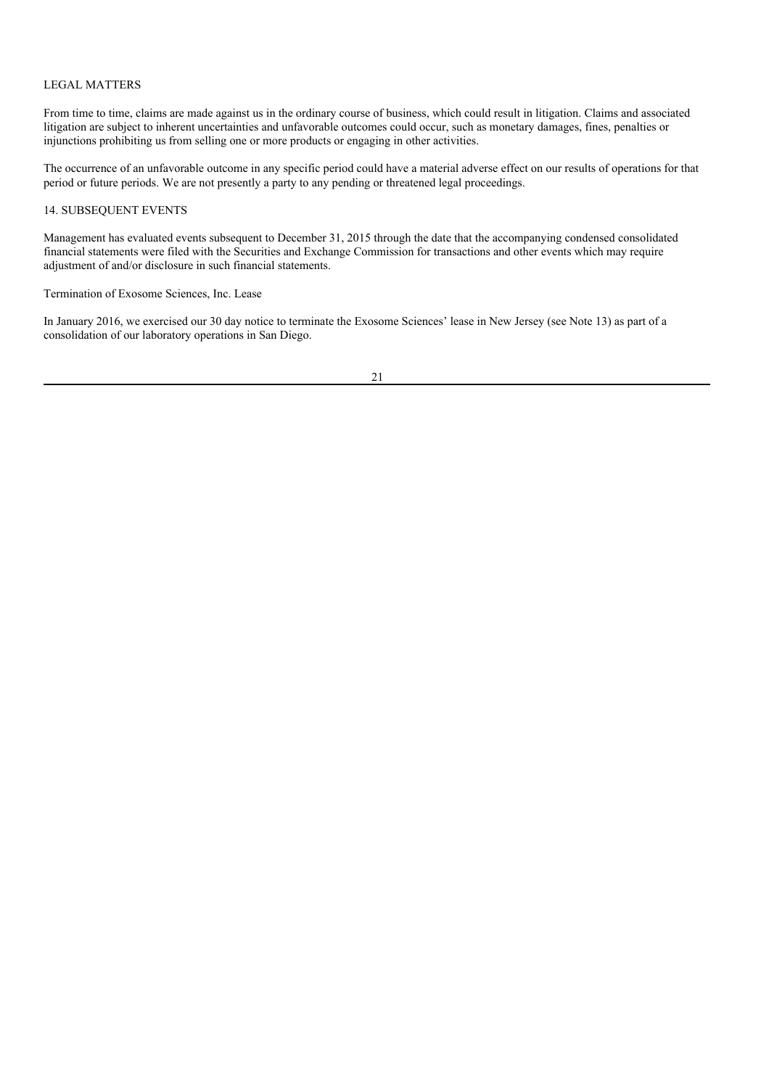## LEGAL MATTERS

From time to time, claims are made against us in the ordinary course of business, which could result in litigation. Claims and associated litigation are subject to inherent uncertainties and unfavorable outcomes could occur, such as monetary damages, fines, penalties or injunctions prohibiting us from selling one or more products or engaging in other activities.

The occurrence of an unfavorable outcome in any specific period could have a material adverse effect on our results of operations for that period or future periods. We are not presently a party to any pending or threatened legal proceedings.

## 14. SUBSEQUENT EVENTS

Management has evaluated events subsequent to December 31, 2015 through the date that the accompanying condensed consolidated financial statements were filed with the Securities and Exchange Commission for transactions and other events which may require adjustment of and/or disclosure in such financial statements.

#### Termination of Exosome Sciences, Inc. Lease

In January 2016, we exercised our 30 day notice to terminate the Exosome Sciences' lease in New Jersey (see Note 13) as part of a consolidation of our laboratory operations in San Diego.

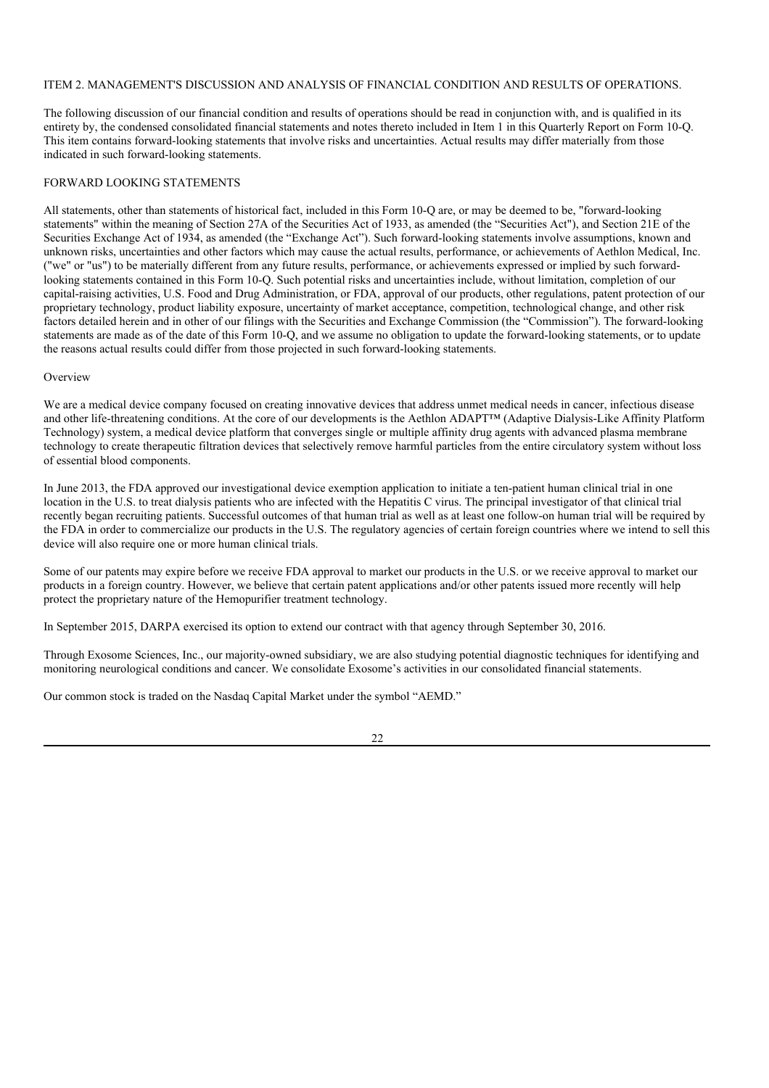## ITEM 2. MANAGEMENT'S DISCUSSION AND ANALYSIS OF FINANCIAL CONDITION AND RESULTS OF OPERATIONS.

The following discussion of our financial condition and results of operations should be read in conjunction with, and is qualified in its entirety by, the condensed consolidated financial statements and notes thereto included in Item 1 in this Quarterly Report on Form 10-Q. This item contains forward-looking statements that involve risks and uncertainties. Actual results may differ materially from those indicated in such forward-looking statements.

### FORWARD LOOKING STATEMENTS

All statements, other than statements of historical fact, included in this Form 10-Q are, or may be deemed to be, "forward-looking statements" within the meaning of Section 27A of the Securities Act of 1933, as amended (the "Securities Act"), and Section 21E of the Securities Exchange Act of 1934, as amended (the "Exchange Act"). Such forward-looking statements involve assumptions, known and unknown risks, uncertainties and other factors which may cause the actual results, performance, or achievements of Aethlon Medical, Inc. ("we" or "us") to be materially different from any future results, performance, or achievements expressed or implied by such forwardlooking statements contained in this Form 10-Q. Such potential risks and uncertainties include, without limitation, completion of our capital-raising activities, U.S. Food and Drug Administration, or FDA, approval of our products, other regulations, patent protection of our proprietary technology, product liability exposure, uncertainty of market acceptance, competition, technological change, and other risk factors detailed herein and in other of our filings with the Securities and Exchange Commission (the "Commission"). The forward-looking statements are made as of the date of this Form 10-Q, and we assume no obligation to update the forward-looking statements, or to update the reasons actual results could differ from those projected in such forward-looking statements.

### Overview

We are a medical device company focused on creating innovative devices that address unmet medical needs in cancer, infectious disease and other life-threatening conditions. At the core of our developments is the Aethlon ADAPT™ (Adaptive Dialysis-Like Affinity Platform Technology) system, a medical device platform that converges single or multiple affinity drug agents with advanced plasma membrane technology to create therapeutic filtration devices that selectively remove harmful particles from the entire circulatory system without loss of essential blood components.

In June 2013, the FDA approved our investigational device exemption application to initiate a ten-patient human clinical trial in one location in the U.S. to treat dialysis patients who are infected with the Hepatitis C virus. The principal investigator of that clinical trial recently began recruiting patients. Successful outcomes of that human trial as well as at least one follow-on human trial will be required by the FDA in order to commercialize our products in the U.S. The regulatory agencies of certain foreign countries where we intend to sell this device will also require one or more human clinical trials.

Some of our patents may expire before we receive FDA approval to market our products in the U.S. or we receive approval to market our products in a foreign country. However, we believe that certain patent applications and/or other patents issued more recently will help protect the proprietary nature of the Hemopurifier treatment technology.

In September 2015, DARPA exercised its option to extend our contract with that agency through September 30, 2016.

Through Exosome Sciences, Inc., our majority-owned subsidiary, we are also studying potential diagnostic techniques for identifying and monitoring neurological conditions and cancer. We consolidate Exosome's activities in our consolidated financial statements.

Our common stock is traded on the Nasdaq Capital Market under the symbol "AEMD."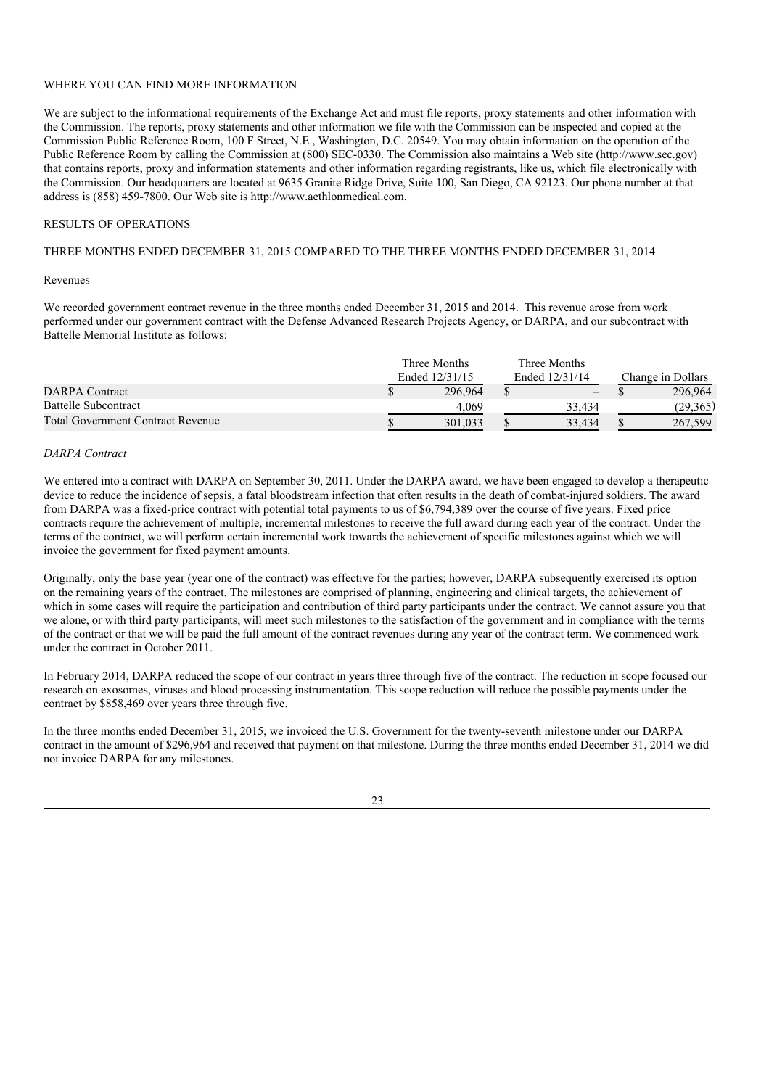### WHERE YOU CAN FIND MORE INFORMATION

We are subject to the informational requirements of the Exchange Act and must file reports, proxy statements and other information with the Commission. The reports, proxy statements and other information we file with the Commission can be inspected and copied at the Commission Public Reference Room, 100 F Street, N.E., Washington, D.C. 20549. You may obtain information on the operation of the Public Reference Room by calling the Commission at (800) SEC-0330. The Commission also maintains a Web site (http://www.sec.gov) that contains reports, proxy and information statements and other information regarding registrants, like us, which file electronically with the Commission. Our headquarters are located at 9635 Granite Ridge Drive, Suite 100, San Diego, CA 92123. Our phone number at that address is (858) 459-7800. Our Web site is http://www.aethlonmedical.com.

### RESULTS OF OPERATIONS

## THREE MONTHS ENDED DECEMBER 31, 2015 COMPARED TO THE THREE MONTHS ENDED DECEMBER 31, 2014

#### Revenues

We recorded government contract revenue in the three months ended December 31, 2015 and 2014. This revenue arose from work performed under our government contract with the Defense Advanced Research Projects Agency, or DARPA, and our subcontract with Battelle Memorial Institute as follows:

|                                          | Three Months   | Three Months   |                   |
|------------------------------------------|----------------|----------------|-------------------|
|                                          | Ended 12/31/15 | Ended 12/31/14 | Change in Dollars |
| DARPA Contract                           | 296,964        |                | 296,964           |
| Battelle Subcontract                     | 4.069          | 33.434         | (29,365)          |
| <b>Total Government Contract Revenue</b> | 301.033        | 33.434         | 267,599           |

### *DARPA Contract*

We entered into a contract with DARPA on September 30, 2011. Under the DARPA award, we have been engaged to develop a therapeutic device to reduce the incidence of sepsis, a fatal bloodstream infection that often results in the death of combat-injured soldiers. The award from DARPA was a fixed-price contract with potential total payments to us of \$6,794,389 over the course of five years. Fixed price contracts require the achievement of multiple, incremental milestones to receive the full award during each year of the contract. Under the terms of the contract, we will perform certain incremental work towards the achievement of specific milestones against which we will invoice the government for fixed payment amounts.

Originally, only the base year (year one of the contract) was effective for the parties; however, DARPA subsequently exercised its option on the remaining years of the contract. The milestones are comprised of planning, engineering and clinical targets, the achievement of which in some cases will require the participation and contribution of third party participants under the contract. We cannot assure you that we alone, or with third party participants, will meet such milestones to the satisfaction of the government and in compliance with the terms of the contract or that we will be paid the full amount of the contract revenues during any year of the contract term. We commenced work under the contract in October 2011.

In February 2014, DARPA reduced the scope of our contract in years three through five of the contract. The reduction in scope focused our research on exosomes, viruses and blood processing instrumentation. This scope reduction will reduce the possible payments under the contract by \$858,469 over years three through five.

In the three months ended December 31, 2015, we invoiced the U.S. Government for the twenty-seventh milestone under our DARPA contract in the amount of \$296,964 and received that payment on that milestone. During the three months ended December 31, 2014 we did not invoice DARPA for any milestones.

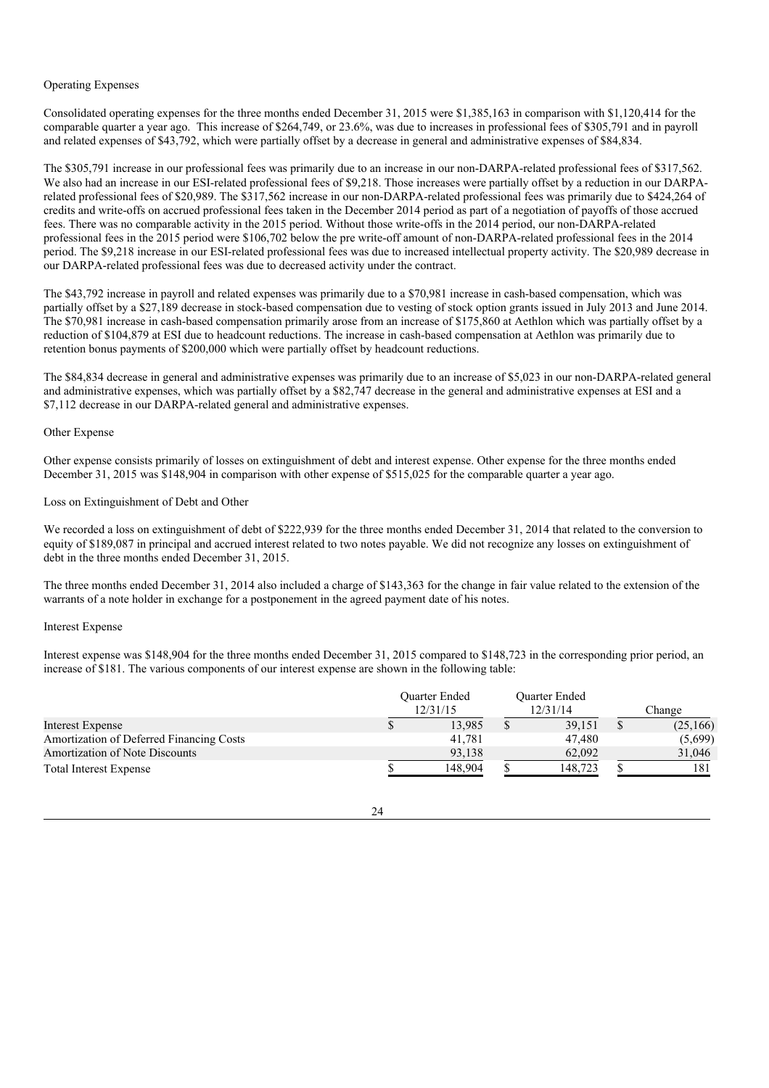### Operating Expenses

Consolidated operating expenses for the three months ended December 31, 2015 were \$1,385,163 in comparison with \$1,120,414 for the comparable quarter a year ago. This increase of \$264,749, or 23.6%, was due to increases in professional fees of \$305,791 and in payroll and related expenses of \$43,792, which were partially offset by a decrease in general and administrative expenses of \$84,834.

The \$305,791 increase in our professional fees was primarily due to an increase in our non-DARPA-related professional fees of \$317,562. We also had an increase in our ESI-related professional fees of \$9,218. Those increases were partially offset by a reduction in our DARPArelated professional fees of \$20,989. The \$317,562 increase in our non-DARPA-related professional fees was primarily due to \$424,264 of credits and write-offs on accrued professional fees taken in the December 2014 period as part of a negotiation of payoffs of those accrued fees. There was no comparable activity in the 2015 period. Without those write-offs in the 2014 period, our non-DARPA-related professional fees in the 2015 period were \$106,702 below the pre write-off amount of non-DARPA-related professional fees in the 2014 period. The \$9,218 increase in our ESI-related professional fees was due to increased intellectual property activity. The \$20,989 decrease in our DARPA-related professional fees was due to decreased activity under the contract.

The \$43,792 increase in payroll and related expenses was primarily due to a \$70,981 increase in cash-based compensation, which was partially offset by a \$27,189 decrease in stock-based compensation due to vesting of stock option grants issued in July 2013 and June 2014. The \$70,981 increase in cash-based compensation primarily arose from an increase of \$175,860 at Aethlon which was partially offset by a reduction of \$104,879 at ESI due to headcount reductions. The increase in cash-based compensation at Aethlon was primarily due to retention bonus payments of \$200,000 which were partially offset by headcount reductions.

The \$84,834 decrease in general and administrative expenses was primarily due to an increase of \$5,023 in our non-DARPA-related general and administrative expenses, which was partially offset by a \$82,747 decrease in the general and administrative expenses at ESI and a \$7,112 decrease in our DARPA-related general and administrative expenses.

#### Other Expense

Other expense consists primarily of losses on extinguishment of debt and interest expense. Other expense for the three months ended December 31, 2015 was \$148,904 in comparison with other expense of \$515,025 for the comparable quarter a year ago.

## Loss on Extinguishment of Debt and Other

We recorded a loss on extinguishment of debt of \$222,939 for the three months ended December 31, 2014 that related to the conversion to equity of \$189,087 in principal and accrued interest related to two notes payable. We did not recognize any losses on extinguishment of debt in the three months ended December 31, 2015.

The three months ended December 31, 2014 also included a charge of \$143,363 for the change in fair value related to the extension of the warrants of a note holder in exchange for a postponement in the agreed payment date of his notes.

#### Interest Expense

Interest expense was \$148,904 for the three months ended December 31, 2015 compared to \$148,723 in the corresponding prior period, an increase of \$181. The various components of our interest expense are shown in the following table:

|                                          | <b>Ouarter Ended</b><br>12/31/15 | Ouarter Ended<br>12/31/14 | Change   |
|------------------------------------------|----------------------------------|---------------------------|----------|
| Interest Expense                         | 13.985                           | 39.151                    | (25,166) |
| Amortization of Deferred Financing Costs | 41.781                           | 47.480                    | (5,699)  |
| <b>Amortization of Note Discounts</b>    | 93.138                           | 62,092                    | 31,046   |
| <b>Total Interest Expense</b>            | 148.904                          | 148.723                   | 181      |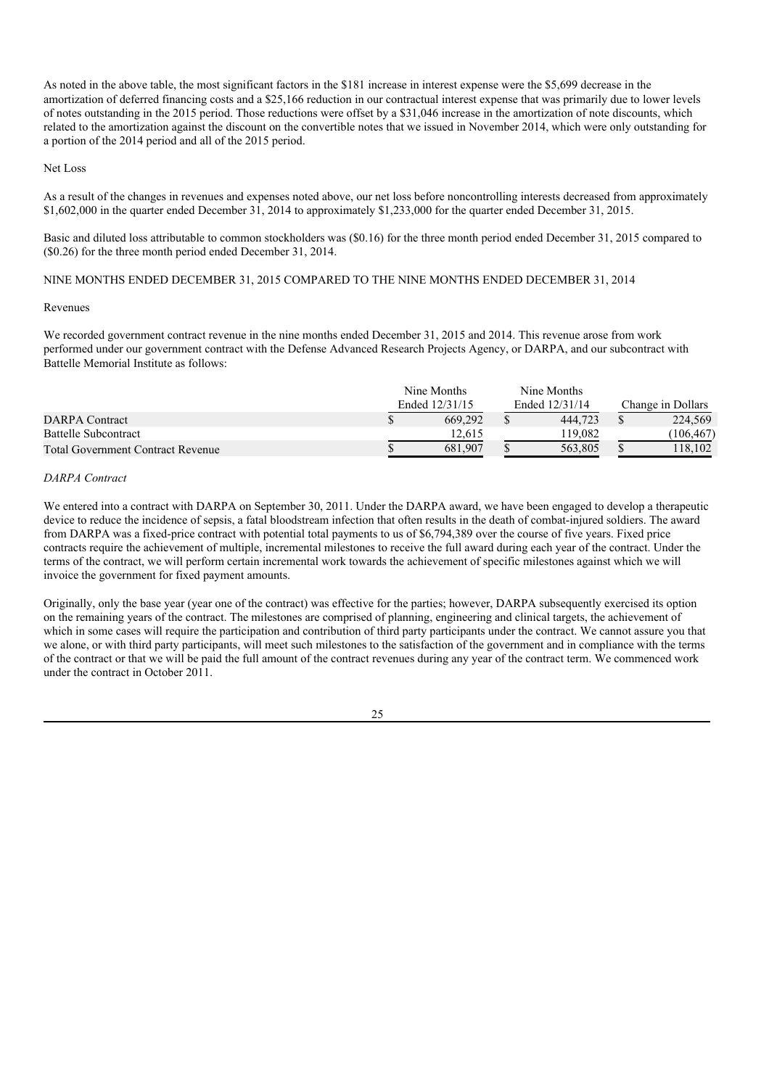As noted in the above table, the most significant factors in the \$181 increase in interest expense were the \$5,699 decrease in the amortization of deferred financing costs and a \$25,166 reduction in our contractual interest expense that was primarily due to lower levels of notes outstanding in the 2015 period. Those reductions were offset by a \$31,046 increase in the amortization of note discounts, which related to the amortization against the discount on the convertible notes that we issued in November 2014, which were only outstanding for a portion of the 2014 period and all of the 2015 period.

#### Net Loss

As a result of the changes in revenues and expenses noted above, our net loss before noncontrolling interests decreased from approximately \$1,602,000 in the quarter ended December 31, 2014 to approximately \$1,233,000 for the quarter ended December 31, 2015.

Basic and diluted loss attributable to common stockholders was (\$0.16) for the three month period ended December 31, 2015 compared to (\$0.26) for the three month period ended December 31, 2014.

### NINE MONTHS ENDED DECEMBER 31, 2015 COMPARED TO THE NINE MONTHS ENDED DECEMBER 31, 2014

### Revenues

We recorded government contract revenue in the nine months ended December 31, 2015 and 2014. This revenue arose from work performed under our government contract with the Defense Advanced Research Projects Agency, or DARPA, and our subcontract with Battelle Memorial Institute as follows:

|                                   | Nine Months    |  | Nine Months    |  |                   |
|-----------------------------------|----------------|--|----------------|--|-------------------|
|                                   | Ended 12/31/15 |  | Ended 12/31/14 |  | Change in Dollars |
| DARPA Contract                    | 669,292        |  | 444,723        |  | 224,569           |
| <b>Battelle Subcontract</b>       | 12.615         |  | 19.082         |  | 106.467           |
| Total Government Contract Revenue | 681.907        |  | 563,805        |  | 18.102            |

### *DARPA Contract*

We entered into a contract with DARPA on September 30, 2011. Under the DARPA award, we have been engaged to develop a therapeutic device to reduce the incidence of sepsis, a fatal bloodstream infection that often results in the death of combat-injured soldiers. The award from DARPA was a fixed-price contract with potential total payments to us of \$6,794,389 over the course of five years. Fixed price contracts require the achievement of multiple, incremental milestones to receive the full award during each year of the contract. Under the terms of the contract, we will perform certain incremental work towards the achievement of specific milestones against which we will invoice the government for fixed payment amounts.

Originally, only the base year (year one of the contract) was effective for the parties; however, DARPA subsequently exercised its option on the remaining years of the contract. The milestones are comprised of planning, engineering and clinical targets, the achievement of which in some cases will require the participation and contribution of third party participants under the contract. We cannot assure you that we alone, or with third party participants, will meet such milestones to the satisfaction of the government and in compliance with the terms of the contract or that we will be paid the full amount of the contract revenues during any year of the contract term. We commenced work under the contract in October 2011.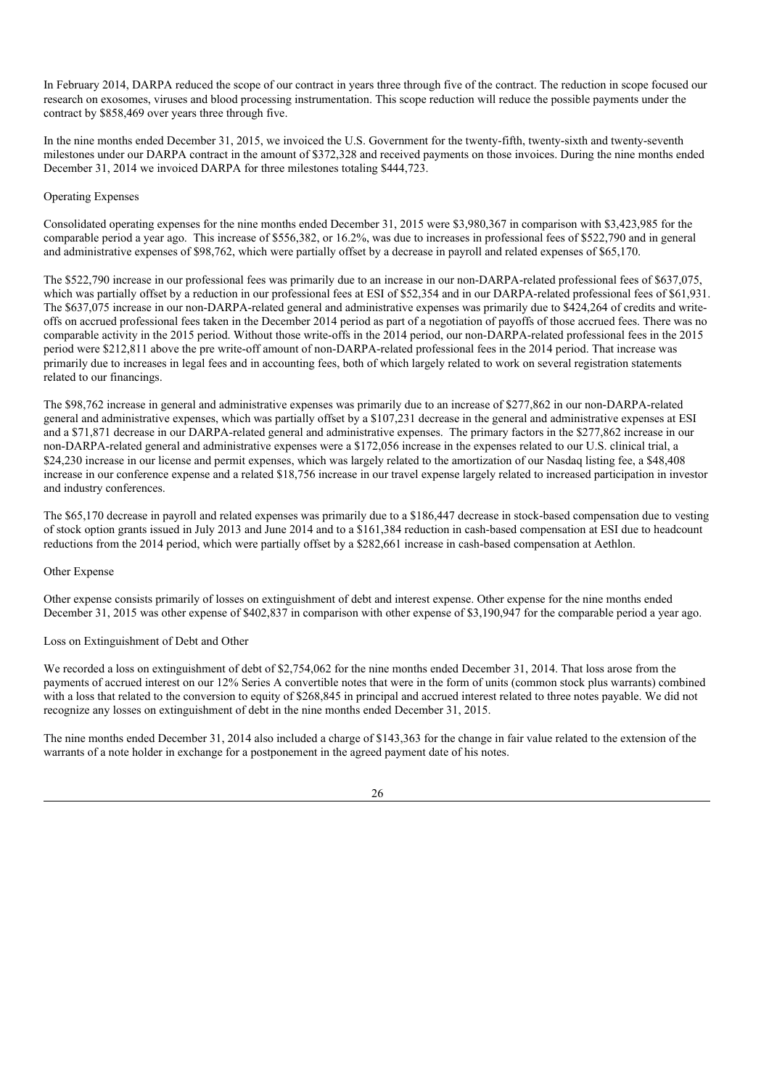In February 2014, DARPA reduced the scope of our contract in years three through five of the contract. The reduction in scope focused our research on exosomes, viruses and blood processing instrumentation. This scope reduction will reduce the possible payments under the contract by \$858,469 over years three through five.

In the nine months ended December 31, 2015, we invoiced the U.S. Government for the twenty-fifth, twenty-sixth and twenty-seventh milestones under our DARPA contract in the amount of \$372,328 and received payments on those invoices. During the nine months ended December 31, 2014 we invoiced DARPA for three milestones totaling \$444,723.

### Operating Expenses

Consolidated operating expenses for the nine months ended December 31, 2015 were \$3,980,367 in comparison with \$3,423,985 for the comparable period a year ago. This increase of \$556,382, or 16.2%, was due to increases in professional fees of \$522,790 and in general and administrative expenses of \$98,762, which were partially offset by a decrease in payroll and related expenses of \$65,170.

The \$522,790 increase in our professional fees was primarily due to an increase in our non-DARPA-related professional fees of \$637,075, which was partially offset by a reduction in our professional fees at ESI of \$52,354 and in our DARPA-related professional fees of \$61,931. The \$637,075 increase in our non-DARPA-related general and administrative expenses was primarily due to \$424,264 of credits and writeoffs on accrued professional fees taken in the December 2014 period as part of a negotiation of payoffs of those accrued fees. There was no comparable activity in the 2015 period. Without those write-offs in the 2014 period, our non-DARPA-related professional fees in the 2015 period were \$212,811 above the pre write-off amount of non-DARPA-related professional fees in the 2014 period. That increase was primarily due to increases in legal fees and in accounting fees, both of which largely related to work on several registration statements related to our financings.

The \$98,762 increase in general and administrative expenses was primarily due to an increase of \$277,862 in our non-DARPA-related general and administrative expenses, which was partially offset by a \$107,231 decrease in the general and administrative expenses at ESI and a \$71,871 decrease in our DARPA-related general and administrative expenses. The primary factors in the \$277,862 increase in our non-DARPA-related general and administrative expenses were a \$172,056 increase in the expenses related to our U.S. clinical trial, a \$24,230 increase in our license and permit expenses, which was largely related to the amortization of our Nasdaq listing fee, a \$48,408 increase in our conference expense and a related \$18,756 increase in our travel expense largely related to increased participation in investor and industry conferences.

The \$65,170 decrease in payroll and related expenses was primarily due to a \$186,447 decrease in stock-based compensation due to vesting of stock option grants issued in July 2013 and June 2014 and to a \$161,384 reduction in cash-based compensation at ESI due to headcount reductions from the 2014 period, which were partially offset by a \$282,661 increase in cash-based compensation at Aethlon.

### Other Expense

Other expense consists primarily of losses on extinguishment of debt and interest expense. Other expense for the nine months ended December 31, 2015 was other expense of \$402,837 in comparison with other expense of \$3,190,947 for the comparable period a year ago.

### Loss on Extinguishment of Debt and Other

We recorded a loss on extinguishment of debt of \$2,754,062 for the nine months ended December 31, 2014. That loss arose from the payments of accrued interest on our 12% Series A convertible notes that were in the form of units (common stock plus warrants) combined with a loss that related to the conversion to equity of \$268,845 in principal and accrued interest related to three notes payable. We did not recognize any losses on extinguishment of debt in the nine months ended December 31, 2015.

The nine months ended December 31, 2014 also included a charge of \$143,363 for the change in fair value related to the extension of the warrants of a note holder in exchange for a postponement in the agreed payment date of his notes.

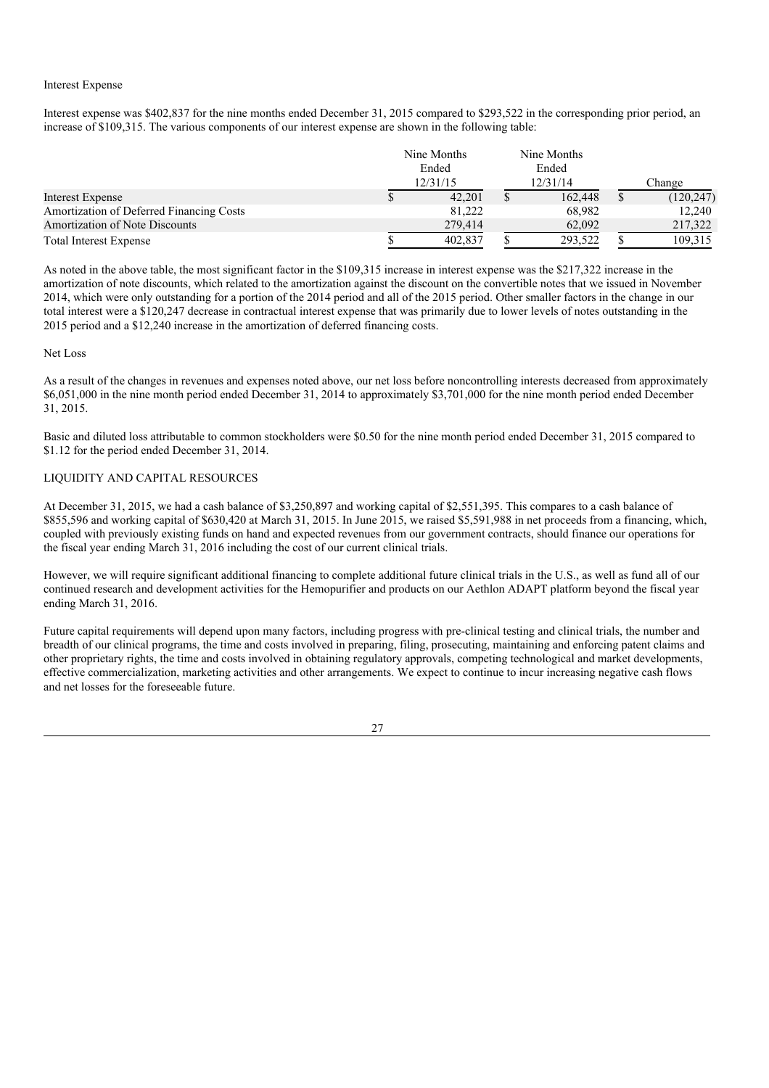### Interest Expense

Interest expense was \$402,837 for the nine months ended December 31, 2015 compared to \$293,522 in the corresponding prior period, an increase of \$109,315. The various components of our interest expense are shown in the following table:

|                                          | Nine Months<br>Ended<br>12/31/15 |         | Nine Months<br>Ended<br>12/31/14 | Change     |
|------------------------------------------|----------------------------------|---------|----------------------------------|------------|
| Interest Expense                         |                                  | 42,201  | 162,448                          | (120, 247) |
| Amortization of Deferred Financing Costs |                                  | 81.222  | 68.982                           | 12,240     |
| Amortization of Note Discounts           |                                  | 279,414 | 62,092                           | 217,322    |
| <b>Total Interest Expense</b>            |                                  | 402,837 | 293,522                          | 109,315    |

As noted in the above table, the most significant factor in the \$109,315 increase in interest expense was the \$217,322 increase in the amortization of note discounts, which related to the amortization against the discount on the convertible notes that we issued in November 2014, which were only outstanding for a portion of the 2014 period and all of the 2015 period. Other smaller factors in the change in our total interest were a \$120,247 decrease in contractual interest expense that was primarily due to lower levels of notes outstanding in the 2015 period and a \$12,240 increase in the amortization of deferred financing costs.

#### Net Loss

As a result of the changes in revenues and expenses noted above, our net loss before noncontrolling interests decreased from approximately \$6,051,000 in the nine month period ended December 31, 2014 to approximately \$3,701,000 for the nine month period ended December 31, 2015.

Basic and diluted loss attributable to common stockholders were \$0.50 for the nine month period ended December 31, 2015 compared to \$1.12 for the period ended December 31, 2014.

### LIQUIDITY AND CAPITAL RESOURCES

At December 31, 2015, we had a cash balance of \$3,250,897 and working capital of \$2,551,395. This compares to a cash balance of \$855,596 and working capital of \$630,420 at March 31, 2015. In June 2015, we raised \$5,591,988 in net proceeds from a financing, which, coupled with previously existing funds on hand and expected revenues from our government contracts, should finance our operations for the fiscal year ending March 31, 2016 including the cost of our current clinical trials.

However, we will require significant additional financing to complete additional future clinical trials in the U.S., as well as fund all of our continued research and development activities for the Hemopurifier and products on our Aethlon ADAPT platform beyond the fiscal year ending March 31, 2016.

Future capital requirements will depend upon many factors, including progress with pre-clinical testing and clinical trials, the number and breadth of our clinical programs, the time and costs involved in preparing, filing, prosecuting, maintaining and enforcing patent claims and other proprietary rights, the time and costs involved in obtaining regulatory approvals, competing technological and market developments, effective commercialization, marketing activities and other arrangements. We expect to continue to incur increasing negative cash flows and net losses for the foreseeable future.

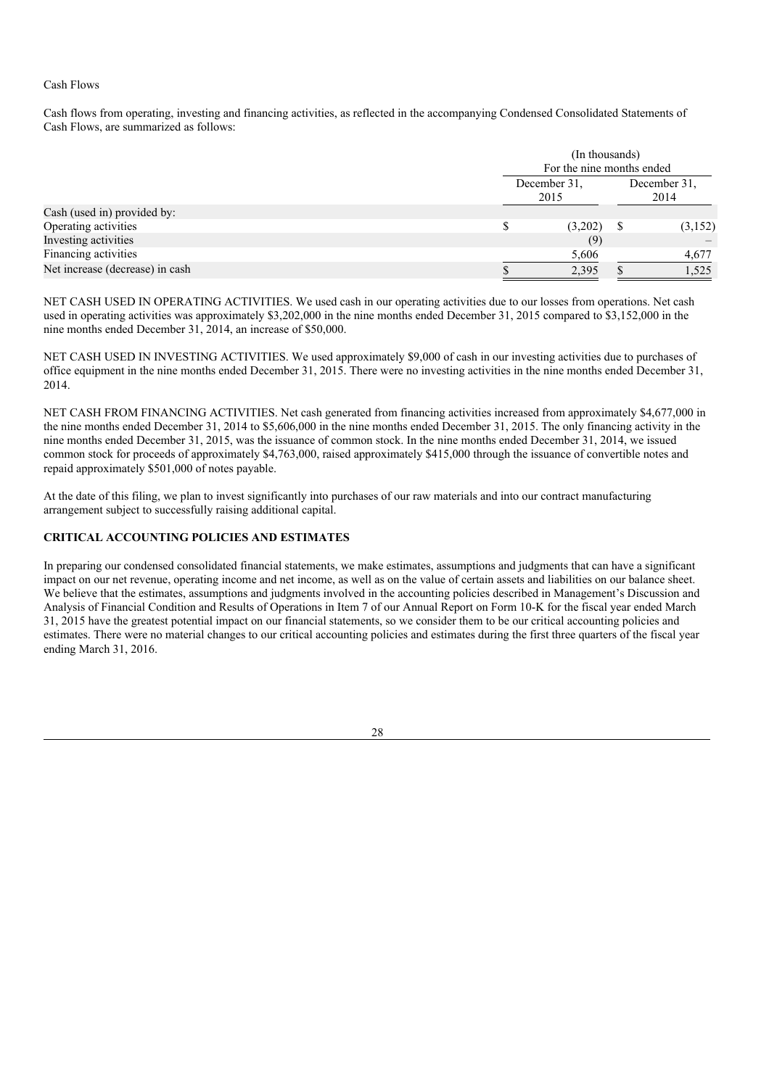## Cash Flows

Cash flows from operating, investing and financing activities, as reflected in the accompanying Condensed Consolidated Statements of Cash Flows, are summarized as follows:

|                                 | (In thousands)<br>For the nine months ended |  |                      |  |  |
|---------------------------------|---------------------------------------------|--|----------------------|--|--|
|                                 | December 31,<br>2015                        |  | December 31.<br>2014 |  |  |
| Cash (used in) provided by:     |                                             |  |                      |  |  |
| Operating activities            | (3,202)                                     |  | (3,152)              |  |  |
| Investing activities            | (9)                                         |  |                      |  |  |
| Financing activities            | 5,606                                       |  | 4,677                |  |  |
| Net increase (decrease) in cash | 2,395                                       |  | 1,525                |  |  |

NET CASH USED IN OPERATING ACTIVITIES. We used cash in our operating activities due to our losses from operations. Net cash used in operating activities was approximately \$3,202,000 in the nine months ended December 31, 2015 compared to \$3,152,000 in the nine months ended December 31, 2014, an increase of \$50,000.

NET CASH USED IN INVESTING ACTIVITIES. We used approximately \$9,000 of cash in our investing activities due to purchases of office equipment in the nine months ended December 31, 2015. There were no investing activities in the nine months ended December 31, 2014.

NET CASH FROM FINANCING ACTIVITIES. Net cash generated from financing activities increased from approximately \$4,677,000 in the nine months ended December 31, 2014 to \$5,606,000 in the nine months ended December 31, 2015. The only financing activity in the nine months ended December 31, 2015, was the issuance of common stock. In the nine months ended December 31, 2014, we issued common stock for proceeds of approximately \$4,763,000, raised approximately \$415,000 through the issuance of convertible notes and repaid approximately \$501,000 of notes payable.

At the date of this filing, we plan to invest significantly into purchases of our raw materials and into our contract manufacturing arrangement subject to successfully raising additional capital.

## **CRITICAL ACCOUNTING POLICIES AND ESTIMATES**

In preparing our condensed consolidated financial statements, we make estimates, assumptions and judgments that can have a significant impact on our net revenue, operating income and net income, as well as on the value of certain assets and liabilities on our balance sheet. We believe that the estimates, assumptions and judgments involved in the accounting policies described in Management's Discussion and Analysis of Financial Condition and Results of Operations in Item 7 of our Annual Report on Form 10-K for the fiscal year ended March 31, 2015 have the greatest potential impact on our financial statements, so we consider them to be our critical accounting policies and estimates. There were no material changes to our critical accounting policies and estimates during the first three quarters of the fiscal year ending March 31, 2016.

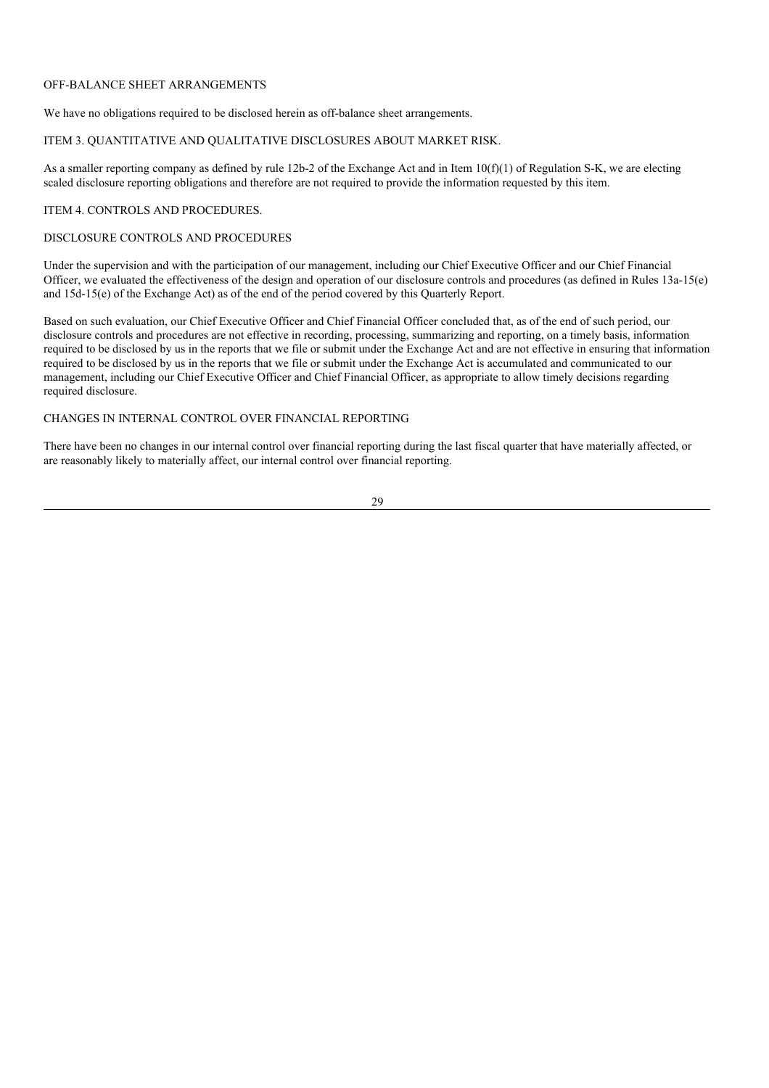### OFF-BALANCE SHEET ARRANGEMENTS

We have no obligations required to be disclosed herein as off-balance sheet arrangements.

# ITEM 3. QUANTITATIVE AND QUALITATIVE DISCLOSURES ABOUT MARKET RISK.

As a smaller reporting company as defined by rule 12b-2 of the Exchange Act and in Item  $10(f)(1)$  of Regulation S-K, we are electing scaled disclosure reporting obligations and therefore are not required to provide the information requested by this item.

#### ITEM 4. CONTROLS AND PROCEDURES.

#### DISCLOSURE CONTROLS AND PROCEDURES

Under the supervision and with the participation of our management, including our Chief Executive Officer and our Chief Financial Officer, we evaluated the effectiveness of the design and operation of our disclosure controls and procedures (as defined in Rules 13a-15(e) and 15d-15(e) of the Exchange Act) as of the end of the period covered by this Quarterly Report.

Based on such evaluation, our Chief Executive Officer and Chief Financial Officer concluded that, as of the end of such period, our disclosure controls and procedures are not effective in recording, processing, summarizing and reporting, on a timely basis, information required to be disclosed by us in the reports that we file or submit under the Exchange Act and are not effective in ensuring that information required to be disclosed by us in the reports that we file or submit under the Exchange Act is accumulated and communicated to our management, including our Chief Executive Officer and Chief Financial Officer, as appropriate to allow timely decisions regarding required disclosure.

# CHANGES IN INTERNAL CONTROL OVER FINANCIAL REPORTING

There have been no changes in our internal control over financial reporting during the last fiscal quarter that have materially affected, or are reasonably likely to materially affect, our internal control over financial reporting.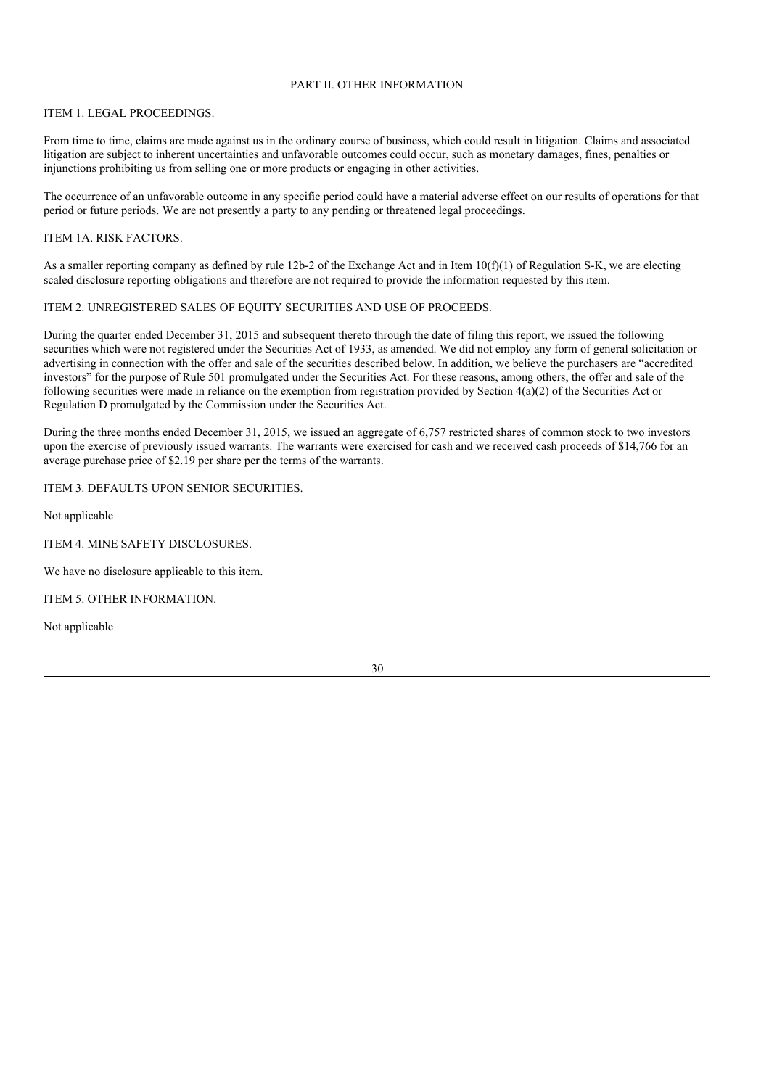### PART II. OTHER INFORMATION

### ITEM 1. LEGAL PROCEEDINGS.

From time to time, claims are made against us in the ordinary course of business, which could result in litigation. Claims and associated litigation are subject to inherent uncertainties and unfavorable outcomes could occur, such as monetary damages, fines, penalties or injunctions prohibiting us from selling one or more products or engaging in other activities.

The occurrence of an unfavorable outcome in any specific period could have a material adverse effect on our results of operations for that period or future periods. We are not presently a party to any pending or threatened legal proceedings.

### ITEM 1A. RISK FACTORS.

As a smaller reporting company as defined by rule 12b-2 of the Exchange Act and in Item 10(f)(1) of Regulation S-K, we are electing scaled disclosure reporting obligations and therefore are not required to provide the information requested by this item.

### ITEM 2. UNREGISTERED SALES OF EQUITY SECURITIES AND USE OF PROCEEDS.

During the quarter ended December 31, 2015 and subsequent thereto through the date of filing this report, we issued the following securities which were not registered under the Securities Act of 1933, as amended. We did not employ any form of general solicitation or advertising in connection with the offer and sale of the securities described below. In addition, we believe the purchasers are "accredited investors" for the purpose of Rule 501 promulgated under the Securities Act. For these reasons, among others, the offer and sale of the following securities were made in reliance on the exemption from registration provided by Section  $4(a)(2)$  of the Securities Act or Regulation D promulgated by the Commission under the Securities Act.

During the three months ended December 31, 2015, we issued an aggregate of 6,757 restricted shares of common stock to two investors upon the exercise of previously issued warrants. The warrants were exercised for cash and we received cash proceeds of \$14,766 for an average purchase price of \$2.19 per share per the terms of the warrants.

ITEM 3. DEFAULTS UPON SENIOR SECURITIES.

Not applicable

ITEM 4. MINE SAFETY DISCLOSURES.

We have no disclosure applicable to this item.

ITEM 5. OTHER INFORMATION.

Not applicable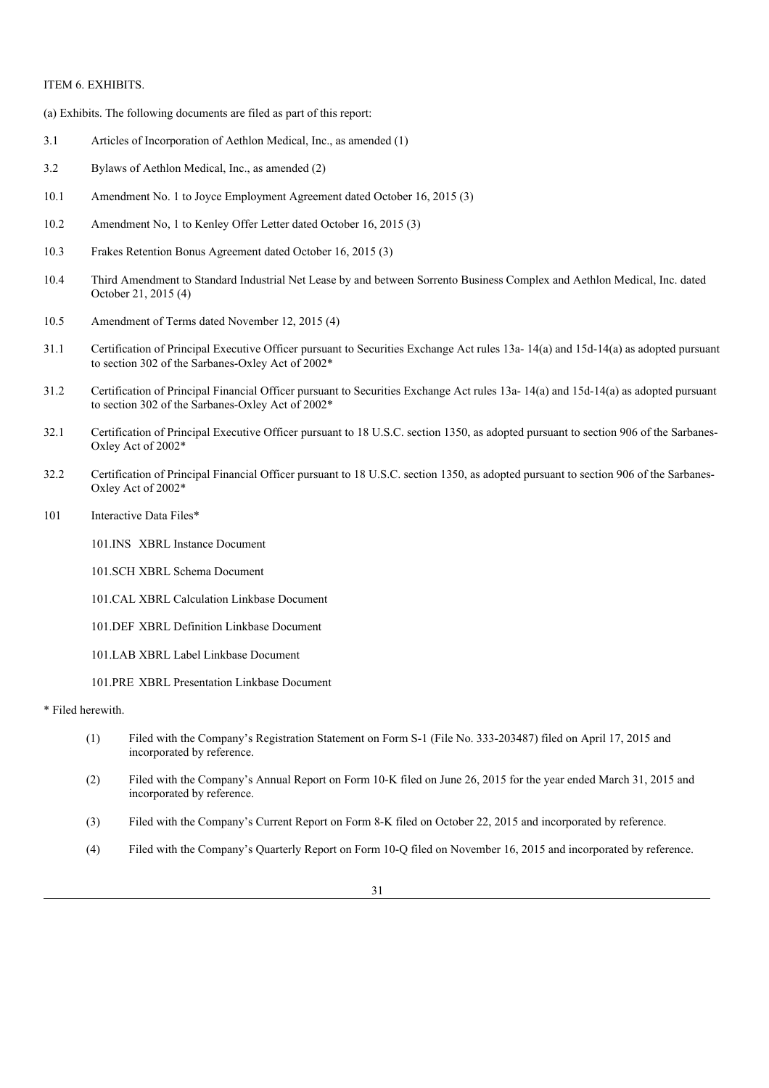#### ITEM 6. EXHIBITS.

(a) Exhibits. The following documents are filed as part of this report:

- 3.1 Articles of Incorporation of Aethlon Medical, Inc., as amended (1)
- 3.2 Bylaws of Aethlon Medical, Inc., as amended (2)
- 10.1 Amendment No. 1 to Joyce Employment Agreement dated October 16, 2015 (3)
- 10.2 Amendment No, 1 to Kenley Offer Letter dated October 16, 2015 (3)
- 10.3 Frakes Retention Bonus Agreement dated October 16, 2015 (3)
- 10.4 Third Amendment to Standard Industrial Net Lease by and between Sorrento Business Complex and Aethlon Medical, Inc. dated October 21, 2015 (4)
- 10.5 Amendment of Terms dated November 12, 2015 (4)
- 31.1 Certification of Principal Executive Officer pursuant to Securities Exchange Act rules 13a- 14(a) and 15d-14(a) as adopted pursuant to section 302 of the Sarbanes-Oxley Act of 2002\*
- 31.2 Certification of Principal Financial Officer pursuant to Securities Exchange Act rules 13a- 14(a) and 15d-14(a) as adopted pursuant to section 302 of the Sarbanes-Oxley Act of 2002\*
- 32.1 Certification of Principal Executive Officer pursuant to 18 U.S.C. section 1350, as adopted pursuant to section 906 of the Sarbanes-Oxley Act of 2002\*
- 32.2 Certification of Principal Financial Officer pursuant to 18 U.S.C. section 1350, as adopted pursuant to section 906 of the Sarbanes-Oxley Act of 2002\*
- 101 Interactive Data Files\*
	- 101.INS XBRL Instance Document
	- 101.SCH XBRL Schema Document
	- 101.CAL XBRL Calculation Linkbase Document
	- 101.DEF XBRL Definition Linkbase Document
	- 101.LAB XBRL Label Linkbase Document
	- 101.PRE XBRL Presentation Linkbase Document
- \* Filed herewith.
	- (1) Filed with the Company's Registration Statement on Form S-1 (File No. 333-203487) filed on April 17, 2015 and incorporated by reference.
	- (2) Filed with the Company's Annual Report on Form 10-K filed on June 26, 2015 for the year ended March 31, 2015 and incorporated by reference.
	- (3) Filed with the Company's Current Report on Form 8-K filed on October 22, 2015 and incorporated by reference.
	- (4) Filed with the Company's Quarterly Report on Form 10-Q filed on November 16, 2015 and incorporated by reference.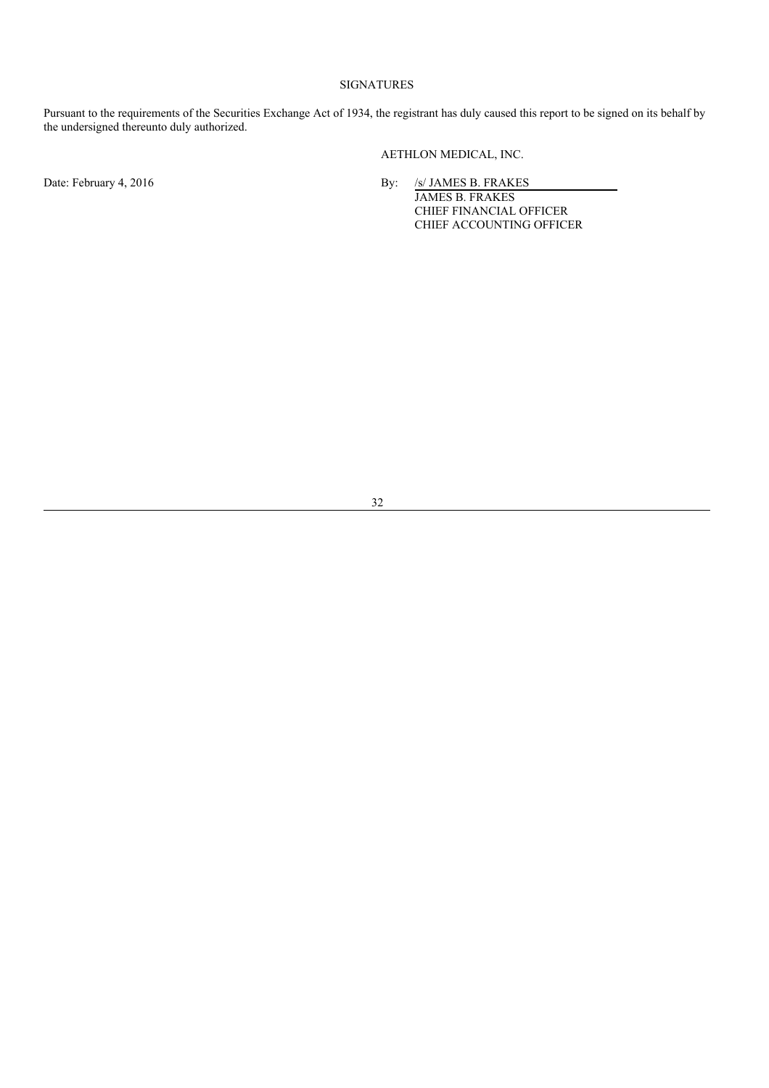# SIGNATURES

Pursuant to the requirements of the Securities Exchange Act of 1934, the registrant has duly caused this report to be signed on its behalf by the undersigned thereunto duly authorized.

AETHLON MEDICAL, INC.

Date: February 4, 2016 **By:** /s/ JAMES B. FRAKES

JAMES B. FRAKES CHIEF FINANCIAL OFFICER CHIEF ACCOUNTING OFFICER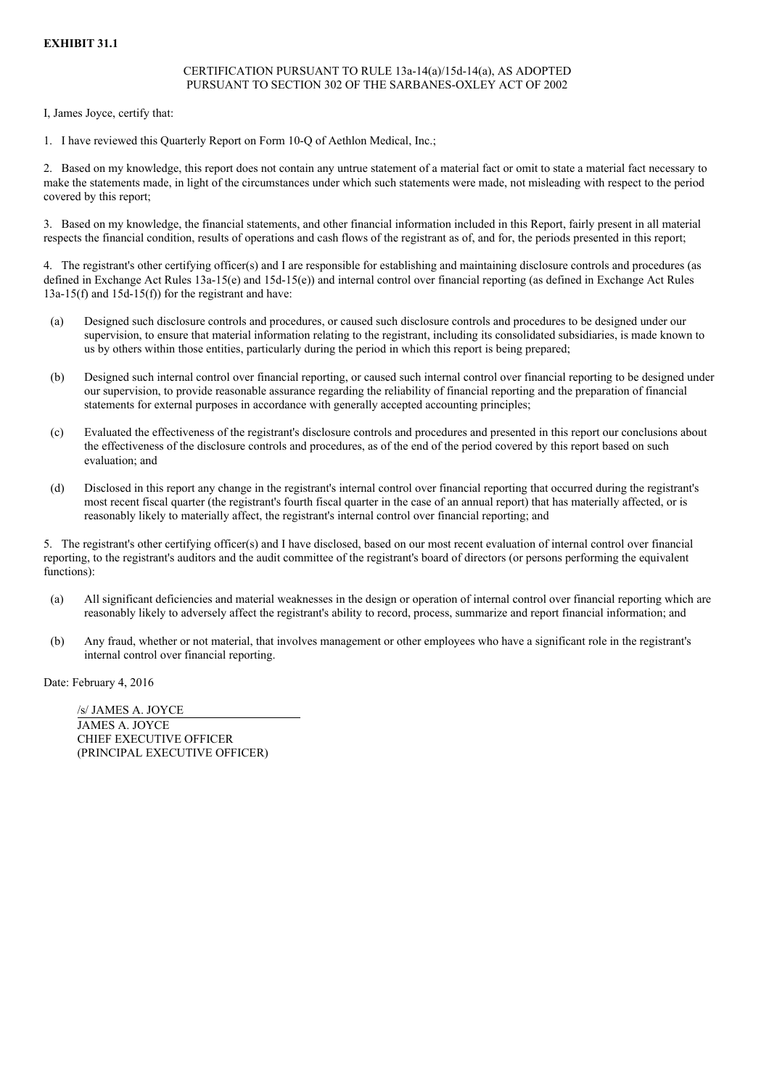## **EXHIBIT 31.1**

### CERTIFICATION PURSUANT TO RULE 13a-14(a)/15d-14(a), AS ADOPTED PURSUANT TO SECTION 302 OF THE SARBANES-OXLEY ACT OF 2002

I, James Joyce, certify that:

1. I have reviewed this Quarterly Report on Form 10-Q of Aethlon Medical, Inc.;

2. Based on my knowledge, this report does not contain any untrue statement of a material fact or omit to state a material fact necessary to make the statements made, in light of the circumstances under which such statements were made, not misleading with respect to the period covered by this report;

3. Based on my knowledge, the financial statements, and other financial information included in this Report, fairly present in all material respects the financial condition, results of operations and cash flows of the registrant as of, and for, the periods presented in this report;

4. The registrant's other certifying officer(s) and I are responsible for establishing and maintaining disclosure controls and procedures (as defined in Exchange Act Rules 13a-15(e) and 15d-15(e)) and internal control over financial reporting (as defined in Exchange Act Rules 13a-15(f) and 15d-15(f)) for the registrant and have:

- (a) Designed such disclosure controls and procedures, or caused such disclosure controls and procedures to be designed under our supervision, to ensure that material information relating to the registrant, including its consolidated subsidiaries, is made known to us by others within those entities, particularly during the period in which this report is being prepared;
- (b) Designed such internal control over financial reporting, or caused such internal control over financial reporting to be designed under our supervision, to provide reasonable assurance regarding the reliability of financial reporting and the preparation of financial statements for external purposes in accordance with generally accepted accounting principles;
- (c) Evaluated the effectiveness of the registrant's disclosure controls and procedures and presented in this report our conclusions about the effectiveness of the disclosure controls and procedures, as of the end of the period covered by this report based on such evaluation; and
- (d) Disclosed in this report any change in the registrant's internal control over financial reporting that occurred during the registrant's most recent fiscal quarter (the registrant's fourth fiscal quarter in the case of an annual report) that has materially affected, or is reasonably likely to materially affect, the registrant's internal control over financial reporting; and

5. The registrant's other certifying officer(s) and I have disclosed, based on our most recent evaluation of internal control over financial reporting, to the registrant's auditors and the audit committee of the registrant's board of directors (or persons performing the equivalent functions):

- (a) All significant deficiencies and material weaknesses in the design or operation of internal control over financial reporting which are reasonably likely to adversely affect the registrant's ability to record, process, summarize and report financial information; and
- (b) Any fraud, whether or not material, that involves management or other employees who have a significant role in the registrant's internal control over financial reporting.

Date: February 4, 2016

/s/ JAMES A. JOYCE JAMES A. JOYCE CHIEF EXECUTIVE OFFICER (PRINCIPAL EXECUTIVE OFFICER)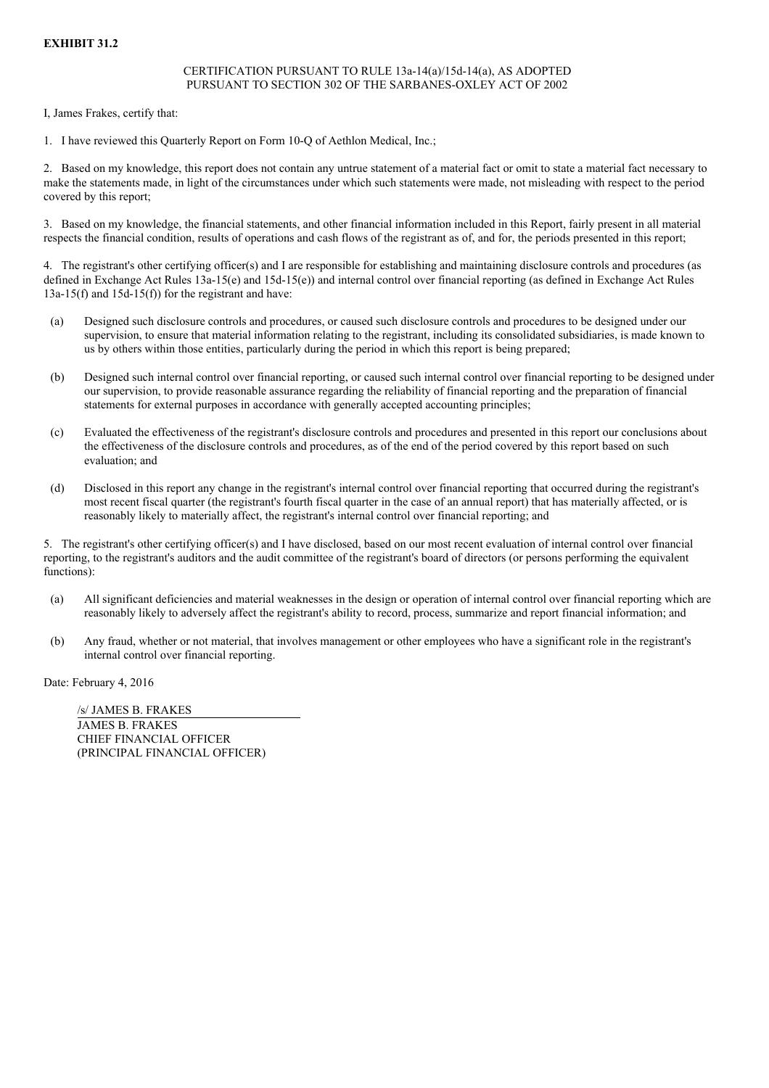### **EXHIBIT 31.2**

### CERTIFICATION PURSUANT TO RULE 13a-14(a)/15d-14(a), AS ADOPTED PURSUANT TO SECTION 302 OF THE SARBANES-OXLEY ACT OF 2002

I, James Frakes, certify that:

1. I have reviewed this Quarterly Report on Form 10-Q of Aethlon Medical, Inc.;

2. Based on my knowledge, this report does not contain any untrue statement of a material fact or omit to state a material fact necessary to make the statements made, in light of the circumstances under which such statements were made, not misleading with respect to the period covered by this report;

3. Based on my knowledge, the financial statements, and other financial information included in this Report, fairly present in all material respects the financial condition, results of operations and cash flows of the registrant as of, and for, the periods presented in this report;

4. The registrant's other certifying officer(s) and I are responsible for establishing and maintaining disclosure controls and procedures (as defined in Exchange Act Rules 13a-15(e) and 15d-15(e)) and internal control over financial reporting (as defined in Exchange Act Rules 13a-15(f) and 15d-15(f)) for the registrant and have:

- (a) Designed such disclosure controls and procedures, or caused such disclosure controls and procedures to be designed under our supervision, to ensure that material information relating to the registrant, including its consolidated subsidiaries, is made known to us by others within those entities, particularly during the period in which this report is being prepared;
- (b) Designed such internal control over financial reporting, or caused such internal control over financial reporting to be designed under our supervision, to provide reasonable assurance regarding the reliability of financial reporting and the preparation of financial statements for external purposes in accordance with generally accepted accounting principles;
- (c) Evaluated the effectiveness of the registrant's disclosure controls and procedures and presented in this report our conclusions about the effectiveness of the disclosure controls and procedures, as of the end of the period covered by this report based on such evaluation; and
- (d) Disclosed in this report any change in the registrant's internal control over financial reporting that occurred during the registrant's most recent fiscal quarter (the registrant's fourth fiscal quarter in the case of an annual report) that has materially affected, or is reasonably likely to materially affect, the registrant's internal control over financial reporting; and

5. The registrant's other certifying officer(s) and I have disclosed, based on our most recent evaluation of internal control over financial reporting, to the registrant's auditors and the audit committee of the registrant's board of directors (or persons performing the equivalent functions):

- (a) All significant deficiencies and material weaknesses in the design or operation of internal control over financial reporting which are reasonably likely to adversely affect the registrant's ability to record, process, summarize and report financial information; and
- (b) Any fraud, whether or not material, that involves management or other employees who have a significant role in the registrant's internal control over financial reporting.

Date: February 4, 2016

/s/ JAMES B. FRAKES JAMES B. FRAKES CHIEF FINANCIAL OFFICER (PRINCIPAL FINANCIAL OFFICER)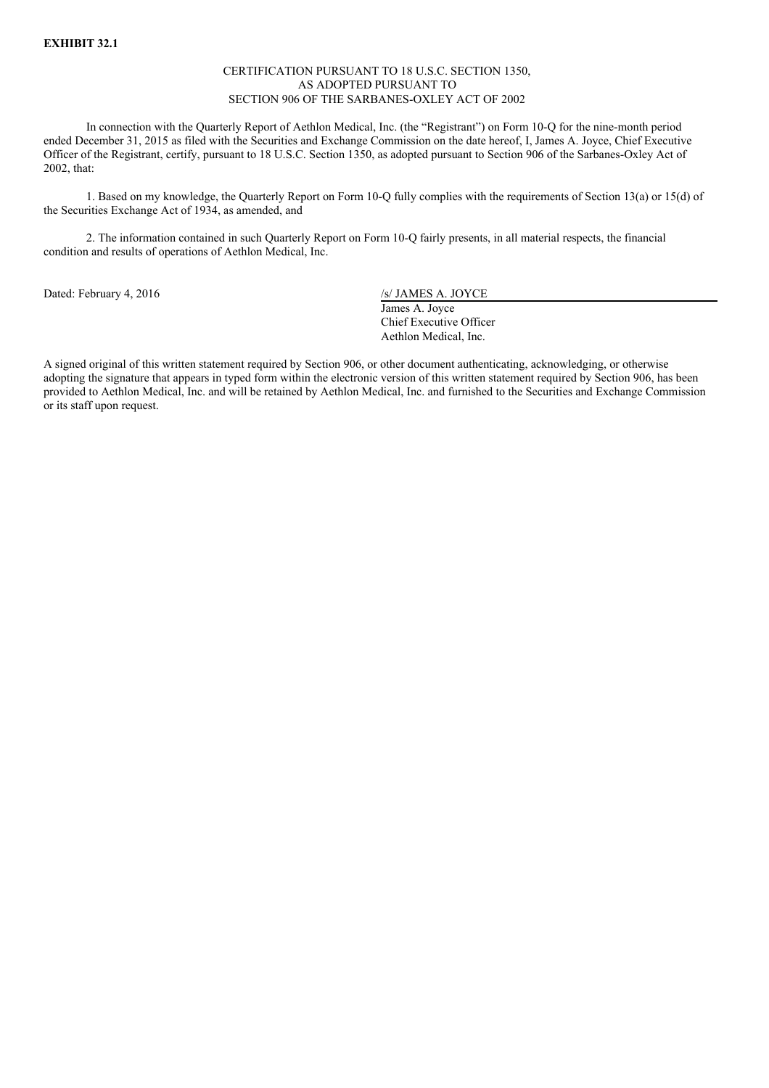#### CERTIFICATION PURSUANT TO 18 U.S.C. SECTION 1350, AS ADOPTED PURSUANT TO SECTION 906 OF THE SARBANES-OXLEY ACT OF 2002

In connection with the Quarterly Report of Aethlon Medical, Inc. (the "Registrant") on Form 10-Q for the nine-month period ended December 31, 2015 as filed with the Securities and Exchange Commission on the date hereof, I, James A. Joyce, Chief Executive Officer of the Registrant, certify, pursuant to 18 U.S.C. Section 1350, as adopted pursuant to Section 906 of the Sarbanes-Oxley Act of 2002, that:

1. Based on my knowledge, the Quarterly Report on Form 10-Q fully complies with the requirements of Section 13(a) or 15(d) of the Securities Exchange Act of 1934, as amended, and

2. The information contained in such Quarterly Report on Form 10-Q fairly presents, in all material respects, the financial condition and results of operations of Aethlon Medical, Inc.

Dated: February 4, 2016 /s/ JAMES A. JOYCE

James A. Joyce Chief Executive Officer Aethlon Medical, Inc.

A signed original of this written statement required by Section 906, or other document authenticating, acknowledging, or otherwise adopting the signature that appears in typed form within the electronic version of this written statement required by Section 906, has been provided to Aethlon Medical, Inc. and will be retained by Aethlon Medical, Inc. and furnished to the Securities and Exchange Commission or its staff upon request.